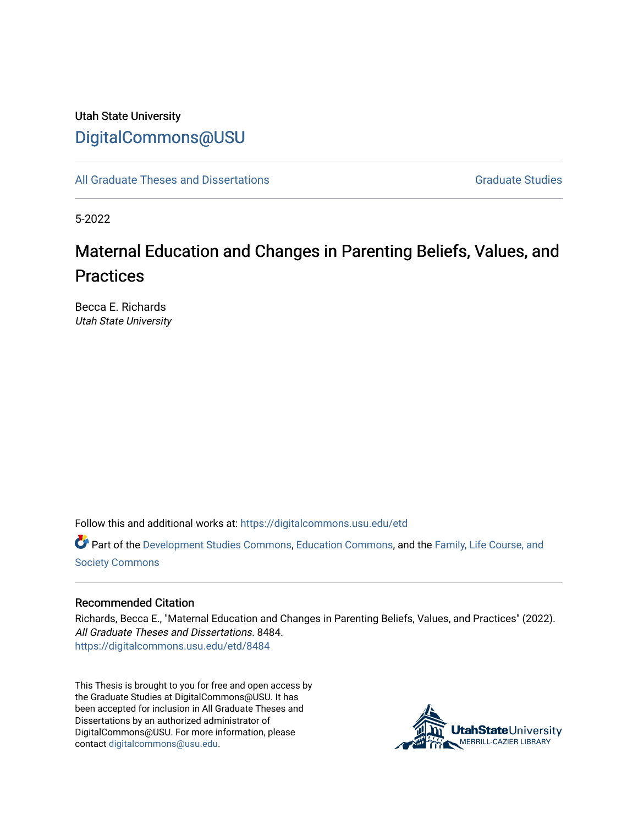## Utah State University [DigitalCommons@USU](https://digitalcommons.usu.edu/)

[All Graduate Theses and Dissertations](https://digitalcommons.usu.edu/etd) Contract Contract Contract Craduate Studies

5-2022

# Maternal Education and Changes in Parenting Beliefs, Values, and **Practices**

Becca E. Richards Utah State University

Follow this and additional works at: [https://digitalcommons.usu.edu/etd](https://digitalcommons.usu.edu/etd?utm_source=digitalcommons.usu.edu%2Fetd%2F8484&utm_medium=PDF&utm_campaign=PDFCoverPages) 

Part of the [Development Studies Commons,](http://network.bepress.com/hgg/discipline/1422?utm_source=digitalcommons.usu.edu%2Fetd%2F8484&utm_medium=PDF&utm_campaign=PDFCoverPages) [Education Commons](http://network.bepress.com/hgg/discipline/784?utm_source=digitalcommons.usu.edu%2Fetd%2F8484&utm_medium=PDF&utm_campaign=PDFCoverPages), and the [Family, Life Course, and](http://network.bepress.com/hgg/discipline/419?utm_source=digitalcommons.usu.edu%2Fetd%2F8484&utm_medium=PDF&utm_campaign=PDFCoverPages)  [Society Commons](http://network.bepress.com/hgg/discipline/419?utm_source=digitalcommons.usu.edu%2Fetd%2F8484&utm_medium=PDF&utm_campaign=PDFCoverPages)

#### Recommended Citation

Richards, Becca E., "Maternal Education and Changes in Parenting Beliefs, Values, and Practices" (2022). All Graduate Theses and Dissertations. 8484. [https://digitalcommons.usu.edu/etd/8484](https://digitalcommons.usu.edu/etd/8484?utm_source=digitalcommons.usu.edu%2Fetd%2F8484&utm_medium=PDF&utm_campaign=PDFCoverPages)

This Thesis is brought to you for free and open access by the Graduate Studies at DigitalCommons@USU. It has been accepted for inclusion in All Graduate Theses and Dissertations by an authorized administrator of DigitalCommons@USU. For more information, please contact [digitalcommons@usu.edu](mailto:digitalcommons@usu.edu).

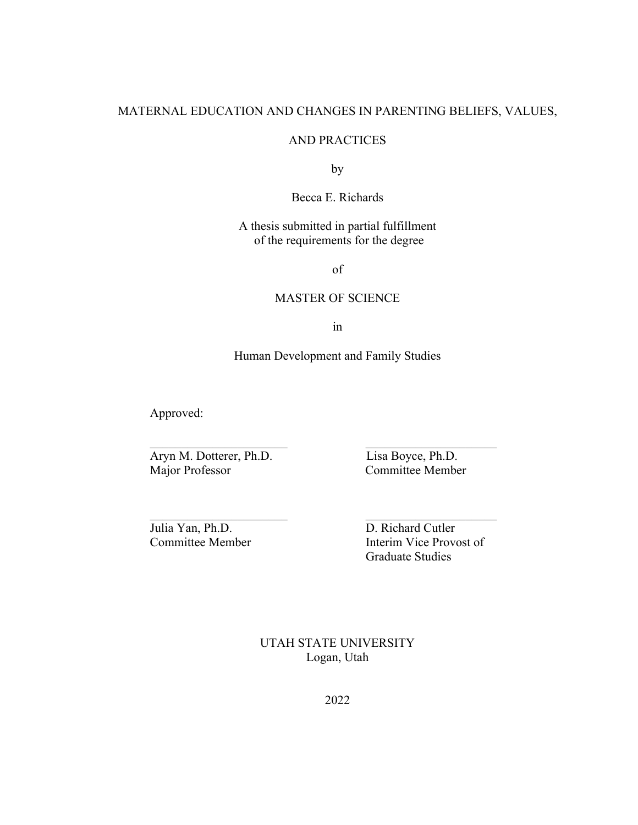## MATERNAL EDUCATION AND CHANGES IN PARENTING BELIEFS, VALUES,

### AND PRACTICES

by

Becca E. Richards

## A thesis submitted in partial fulfillment of the requirements for the degree

of

### MASTER OF SCIENCE

in

## Human Development and Family Studies

Approved:

Aryn M. Dotterer, Ph.D.<br>
Major Professor Committee Membe

Committee Member

Julia Yan, Ph.D. D. Richard Cutler

Committee Member Interim Vice Provost of Graduate Studies

> UTAH STATE UNIVERSITY Logan, Utah

> > 2022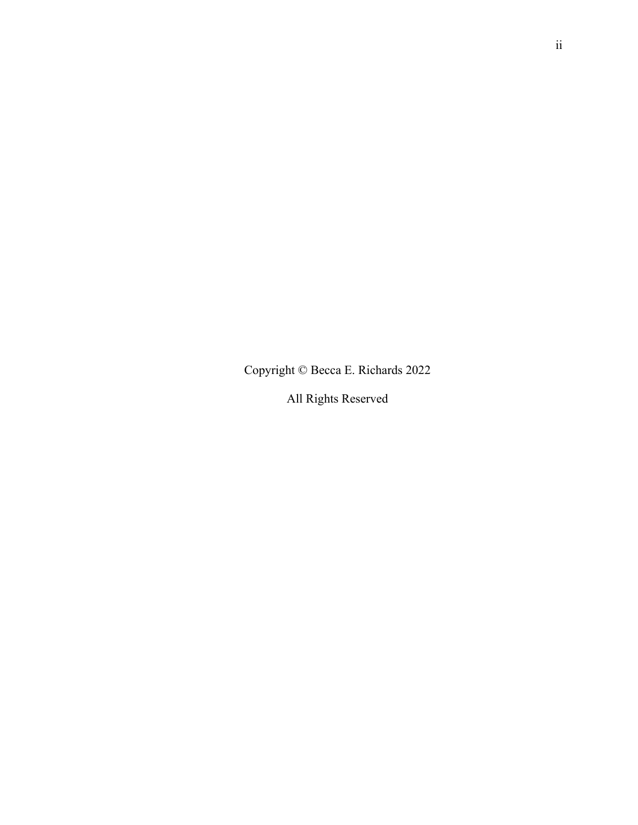Copyright © Becca E. Richards 2022

All Rights Reserved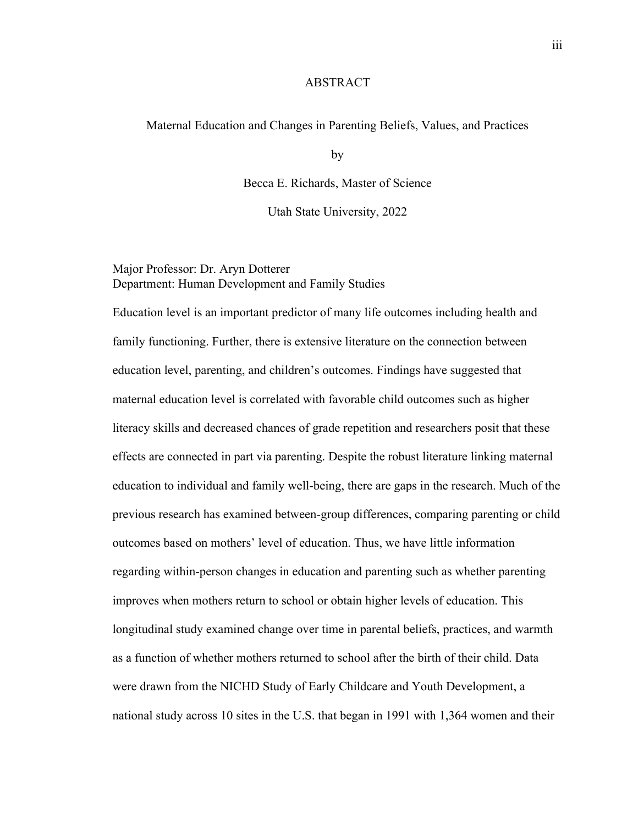#### ABSTRACT

#### Maternal Education and Changes in Parenting Beliefs, Values, and Practices

by

Becca E. Richards, Master of Science

Utah State University, 2022

## Major Professor: Dr. Aryn Dotterer Department: Human Development and Family Studies

Education level is an important predictor of many life outcomes including health and family functioning. Further, there is extensive literature on the connection between education level, parenting, and children's outcomes. Findings have suggested that maternal education level is correlated with favorable child outcomes such as higher literacy skills and decreased chances of grade repetition and researchers posit that these effects are connected in part via parenting. Despite the robust literature linking maternal education to individual and family well-being, there are gaps in the research. Much of the previous research has examined between-group differences, comparing parenting or child outcomes based on mothers' level of education. Thus, we have little information regarding within-person changes in education and parenting such as whether parenting improves when mothers return to school or obtain higher levels of education. This longitudinal study examined change over time in parental beliefs, practices, and warmth as a function of whether mothers returned to school after the birth of their child. Data were drawn from the NICHD Study of Early Childcare and Youth Development, a national study across 10 sites in the U.S. that began in 1991 with 1,364 women and their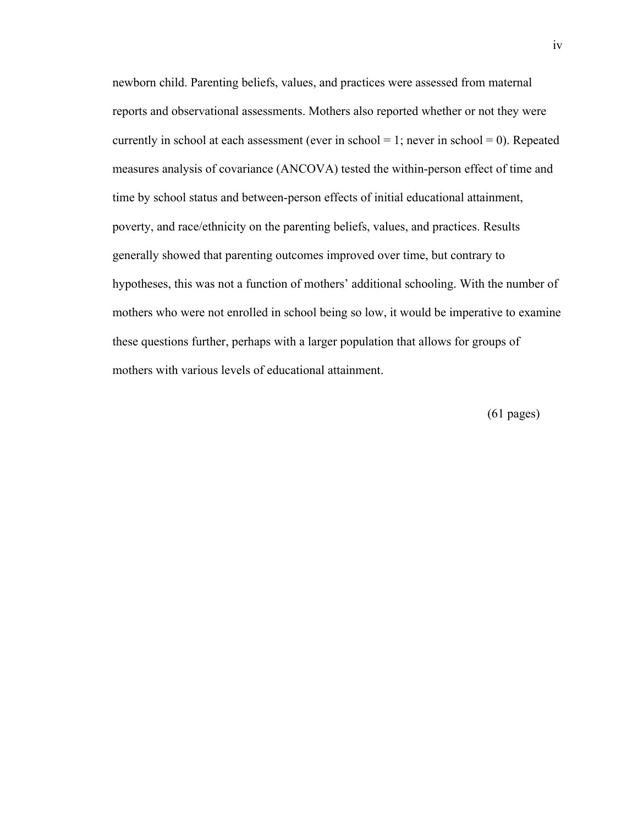newborn child. Parenting beliefs, values, and practices were assessed from maternal reports and observational assessments. Mothers also reported whether or not they were currently in school at each assessment (ever in school = 1; never in school = 0). Repeated measures analysis of covariance (ANCOVA) tested the within-person effect of time and time by school status and between-person effects of initial educational attainment, poverty, and race/ethnicity on the parenting beliefs, values, and practices. Results generally showed that parenting outcomes improved over time, but contrary to hypotheses, this was not a function of mothers' additional schooling. With the number of mothers who were not enrolled in school being so low, it would be imperative to examine these questions further, perhaps with a larger population that allows for groups of mothers with various levels of educational attainment.

(61 pages)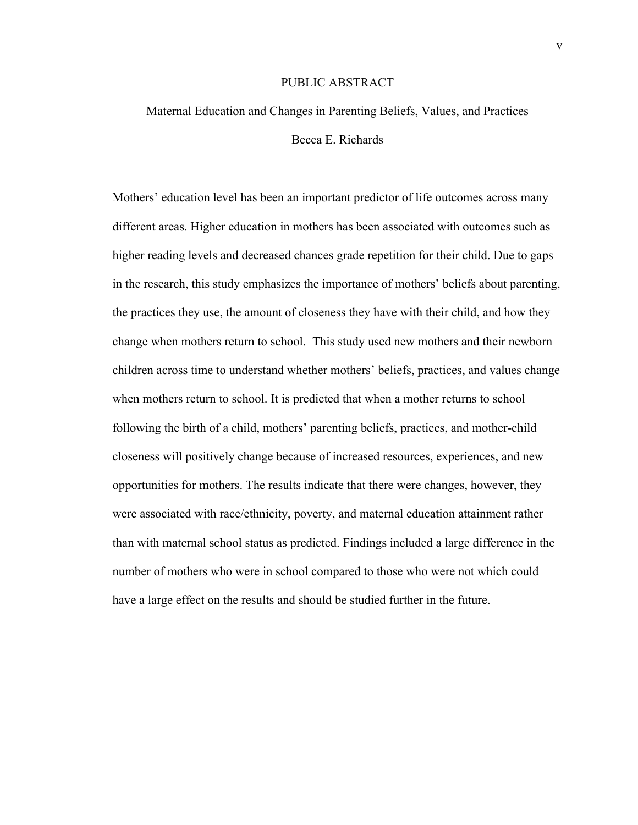#### PUBLIC ABSTRACT

# Maternal Education and Changes in Parenting Beliefs, Values, and Practices Becca E. Richards

Mothers' education level has been an important predictor of life outcomes across many different areas. Higher education in mothers has been associated with outcomes such as higher reading levels and decreased chances grade repetition for their child. Due to gaps in the research, this study emphasizes the importance of mothers' beliefs about parenting, the practices they use, the amount of closeness they have with their child, and how they change when mothers return to school. This study used new mothers and their newborn children across time to understand whether mothers' beliefs, practices, and values change when mothers return to school. It is predicted that when a mother returns to school following the birth of a child, mothers' parenting beliefs, practices, and mother-child closeness will positively change because of increased resources, experiences, and new opportunities for mothers. The results indicate that there were changes, however, they were associated with race/ethnicity, poverty, and maternal education attainment rather than with maternal school status as predicted. Findings included a large difference in the number of mothers who were in school compared to those who were not which could have a large effect on the results and should be studied further in the future.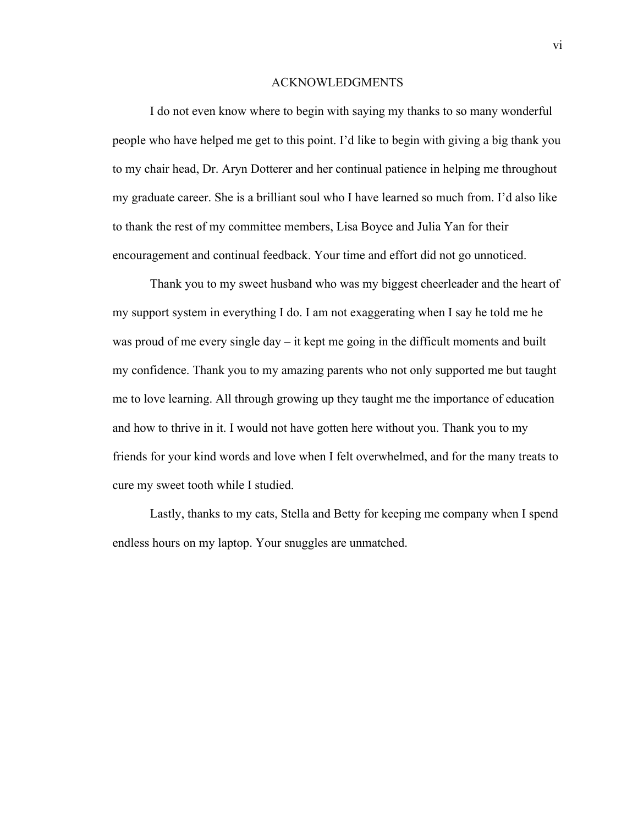#### ACKNOWLEDGMENTS

 I do not even know where to begin with saying my thanks to so many wonderful people who have helped me get to this point. I'd like to begin with giving a big thank you to my chair head, Dr. Aryn Dotterer and her continual patience in helping me throughout my graduate career. She is a brilliant soul who I have learned so much from. I'd also like to thank the rest of my committee members, Lisa Boyce and Julia Yan for their encouragement and continual feedback. Your time and effort did not go unnoticed.

 Thank you to my sweet husband who was my biggest cheerleader and the heart of my support system in everything I do. I am not exaggerating when I say he told me he was proud of me every single day – it kept me going in the difficult moments and built my confidence. Thank you to my amazing parents who not only supported me but taught me to love learning. All through growing up they taught me the importance of education and how to thrive in it. I would not have gotten here without you. Thank you to my friends for your kind words and love when I felt overwhelmed, and for the many treats to cure my sweet tooth while I studied.

 Lastly, thanks to my cats, Stella and Betty for keeping me company when I spend endless hours on my laptop. Your snuggles are unmatched.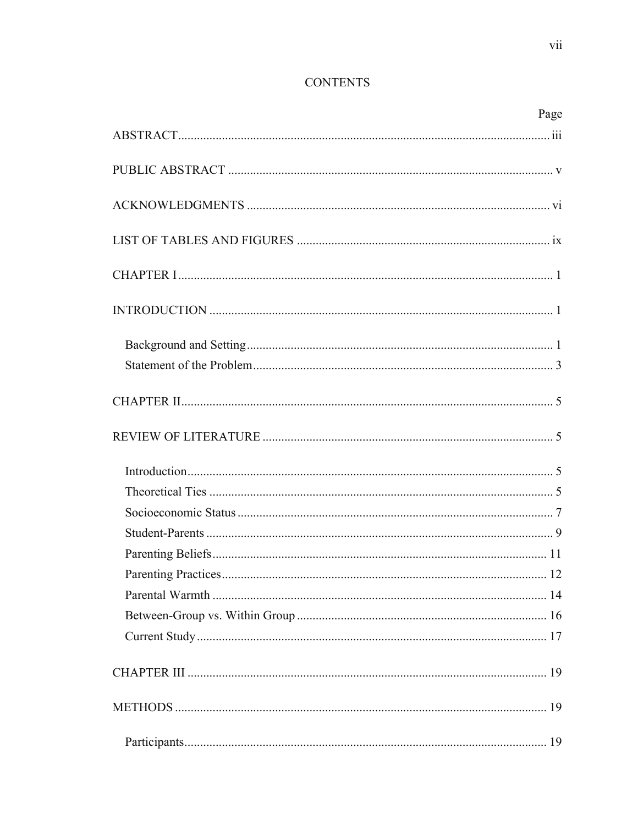## **CONTENTS**

| Page |
|------|
|      |
|      |
|      |
|      |
|      |
|      |
|      |
|      |
|      |
|      |
|      |
|      |
|      |
|      |
|      |
|      |
|      |
|      |
|      |
|      |
|      |
|      |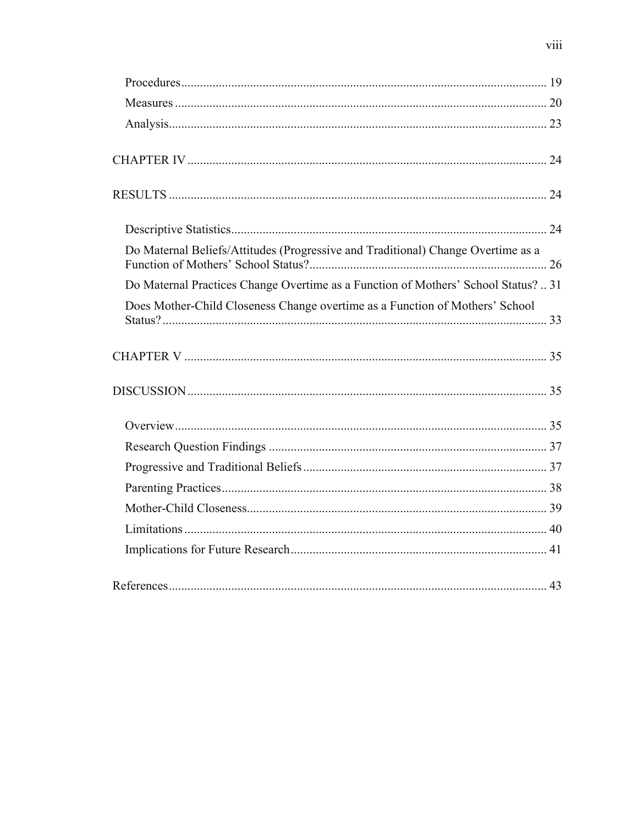| Do Maternal Beliefs/Attitudes (Progressive and Traditional) Change Overtime as a   |  |
|------------------------------------------------------------------------------------|--|
| Do Maternal Practices Change Overtime as a Function of Mothers' School Status?  31 |  |
| Does Mother-Child Closeness Change overtime as a Function of Mothers' School       |  |
|                                                                                    |  |
|                                                                                    |  |
|                                                                                    |  |
|                                                                                    |  |
|                                                                                    |  |
|                                                                                    |  |
|                                                                                    |  |
|                                                                                    |  |
|                                                                                    |  |
|                                                                                    |  |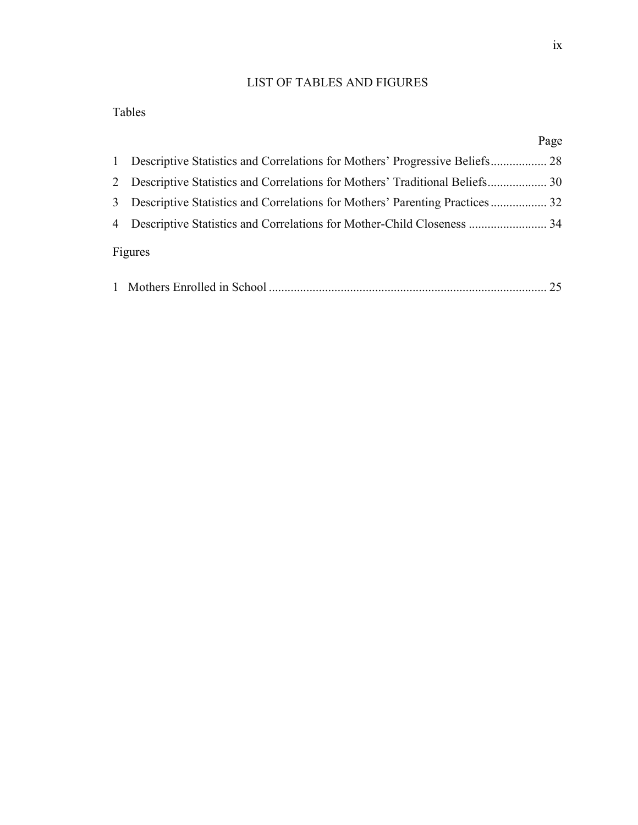## LIST OF TABLES AND FIGURES

## Tables

|                                                                               | Page |
|-------------------------------------------------------------------------------|------|
| 1 Descriptive Statistics and Correlations for Mothers' Progressive Beliefs 28 |      |
| 2 Descriptive Statistics and Correlations for Mothers' Traditional Beliefs 30 |      |
| 3 Descriptive Statistics and Correlations for Mothers' Parenting Practices 32 |      |
|                                                                               |      |
| Figures                                                                       |      |

|--|--|--|--|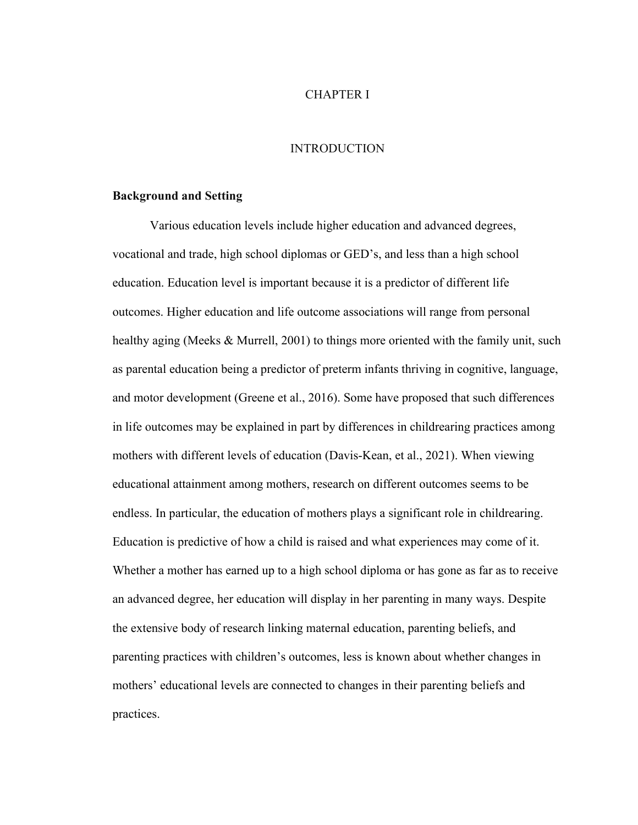#### CHAPTER I

#### INTRODUCTION

#### **Background and Setting**

Various education levels include higher education and advanced degrees, vocational and trade, high school diplomas or GED's, and less than a high school education. Education level is important because it is a predictor of different life outcomes. Higher education and life outcome associations will range from personal healthy aging (Meeks & Murrell, 2001) to things more oriented with the family unit, such as parental education being a predictor of preterm infants thriving in cognitive, language, and motor development (Greene et al., 2016). Some have proposed that such differences in life outcomes may be explained in part by differences in childrearing practices among mothers with different levels of education (Davis-Kean, et al., 2021). When viewing educational attainment among mothers, research on different outcomes seems to be endless. In particular, the education of mothers plays a significant role in childrearing. Education is predictive of how a child is raised and what experiences may come of it. Whether a mother has earned up to a high school diploma or has gone as far as to receive an advanced degree, her education will display in her parenting in many ways. Despite the extensive body of research linking maternal education, parenting beliefs, and parenting practices with children's outcomes, less is known about whether changes in mothers' educational levels are connected to changes in their parenting beliefs and practices.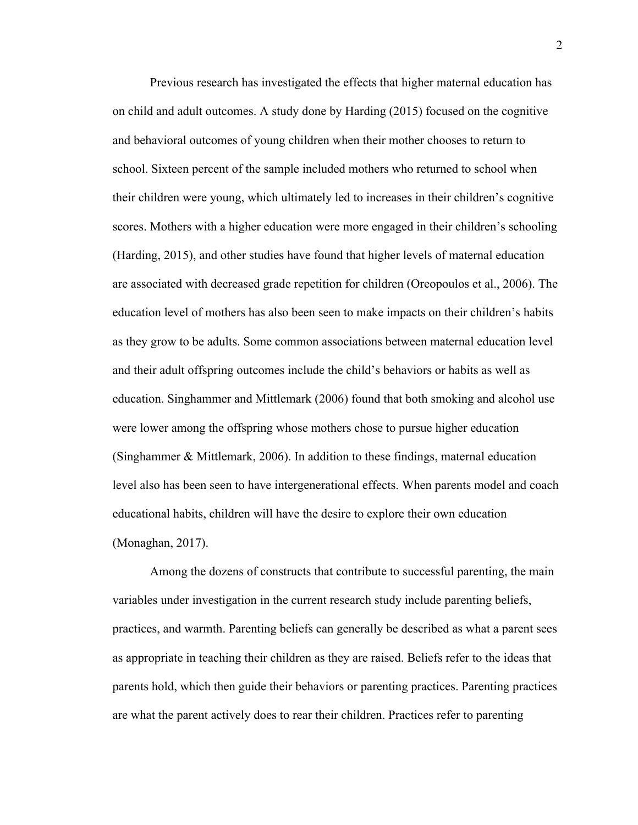Previous research has investigated the effects that higher maternal education has on child and adult outcomes. A study done by Harding (2015) focused on the cognitive and behavioral outcomes of young children when their mother chooses to return to school. Sixteen percent of the sample included mothers who returned to school when their children were young, which ultimately led to increases in their children's cognitive scores. Mothers with a higher education were more engaged in their children's schooling (Harding, 2015), and other studies have found that higher levels of maternal education are associated with decreased grade repetition for children (Oreopoulos et al., 2006). The education level of mothers has also been seen to make impacts on their children's habits as they grow to be adults. Some common associations between maternal education level and their adult offspring outcomes include the child's behaviors or habits as well as education. Singhammer and Mittlemark (2006) found that both smoking and alcohol use were lower among the offspring whose mothers chose to pursue higher education (Singhammer & Mittlemark, 2006). In addition to these findings, maternal education level also has been seen to have intergenerational effects. When parents model and coach educational habits, children will have the desire to explore their own education (Monaghan, 2017).

Among the dozens of constructs that contribute to successful parenting, the main variables under investigation in the current research study include parenting beliefs, practices, and warmth. Parenting beliefs can generally be described as what a parent sees as appropriate in teaching their children as they are raised. Beliefs refer to the ideas that parents hold, which then guide their behaviors or parenting practices. Parenting practices are what the parent actively does to rear their children. Practices refer to parenting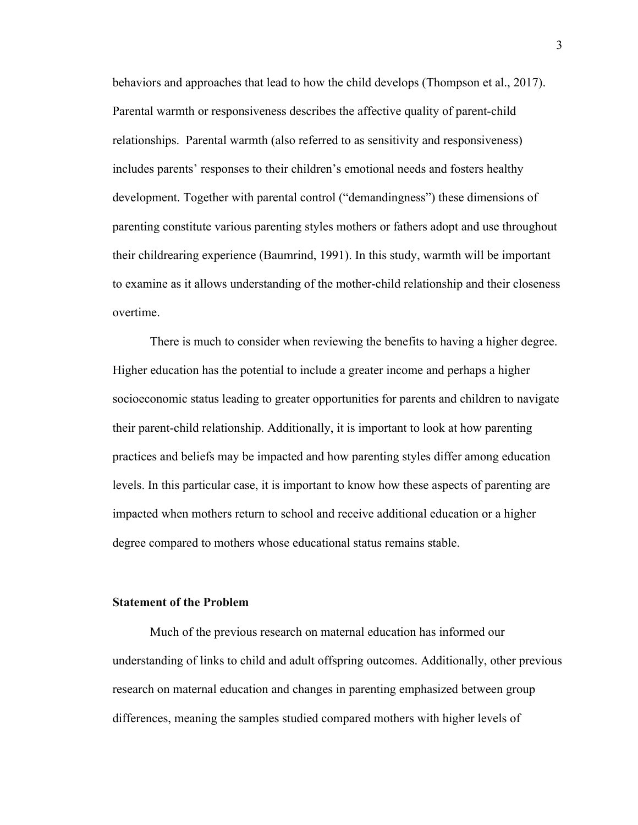behaviors and approaches that lead to how the child develops (Thompson et al., 2017). Parental warmth or responsiveness describes the affective quality of parent-child relationships. Parental warmth (also referred to as sensitivity and responsiveness) includes parents' responses to their children's emotional needs and fosters healthy development. Together with parental control ("demandingness") these dimensions of parenting constitute various parenting styles mothers or fathers adopt and use throughout their childrearing experience (Baumrind, 1991). In this study, warmth will be important to examine as it allows understanding of the mother-child relationship and their closeness overtime.

There is much to consider when reviewing the benefits to having a higher degree. Higher education has the potential to include a greater income and perhaps a higher socioeconomic status leading to greater opportunities for parents and children to navigate their parent-child relationship. Additionally, it is important to look at how parenting practices and beliefs may be impacted and how parenting styles differ among education levels. In this particular case, it is important to know how these aspects of parenting are impacted when mothers return to school and receive additional education or a higher degree compared to mothers whose educational status remains stable.

## **Statement of the Problem**

Much of the previous research on maternal education has informed our understanding of links to child and adult offspring outcomes. Additionally, other previous research on maternal education and changes in parenting emphasized between group differences, meaning the samples studied compared mothers with higher levels of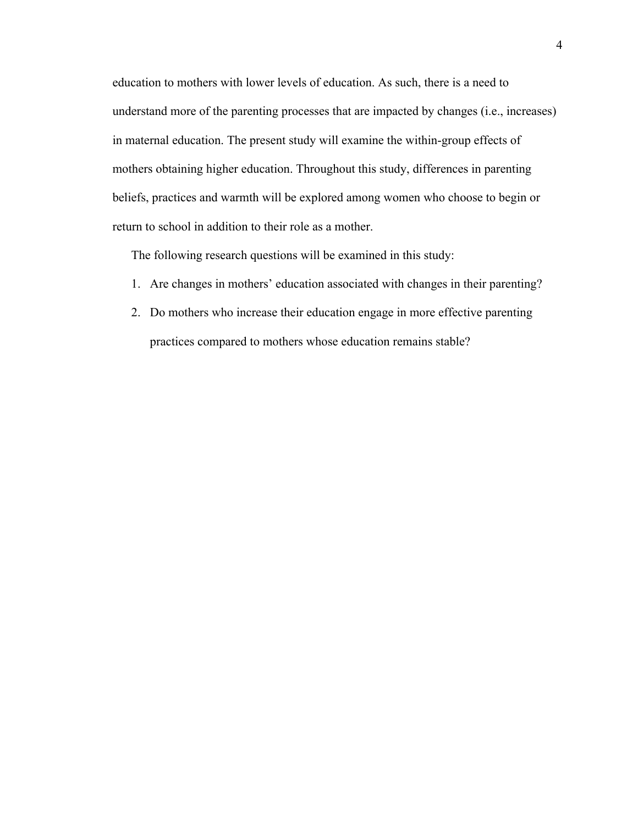education to mothers with lower levels of education. As such, there is a need to understand more of the parenting processes that are impacted by changes (i.e., increases) in maternal education. The present study will examine the within-group effects of mothers obtaining higher education. Throughout this study, differences in parenting beliefs, practices and warmth will be explored among women who choose to begin or return to school in addition to their role as a mother.

The following research questions will be examined in this study:

- 1. Are changes in mothers' education associated with changes in their parenting?
- 2. Do mothers who increase their education engage in more effective parenting practices compared to mothers whose education remains stable?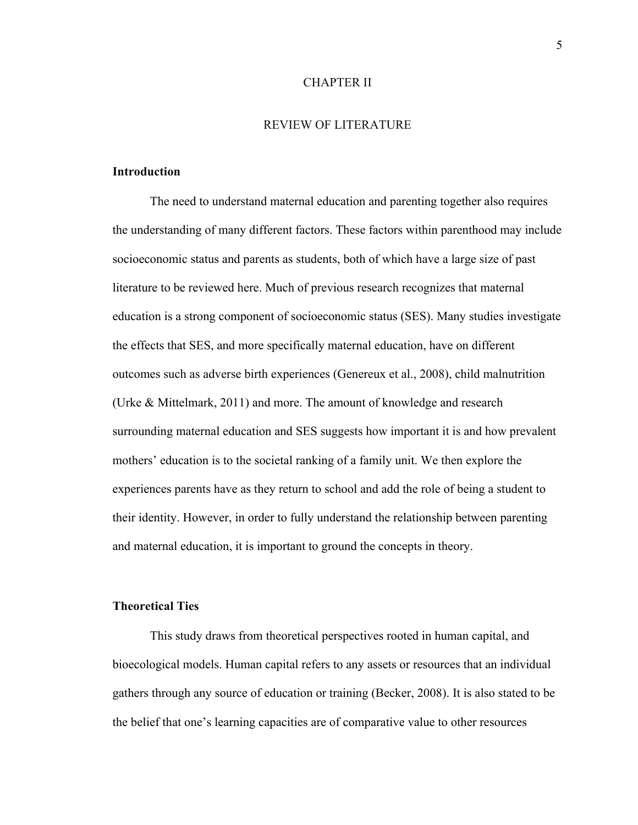#### CHAPTER II

#### REVIEW OF LITERATURE

### **Introduction**

The need to understand maternal education and parenting together also requires the understanding of many different factors. These factors within parenthood may include socioeconomic status and parents as students, both of which have a large size of past literature to be reviewed here. Much of previous research recognizes that maternal education is a strong component of socioeconomic status (SES). Many studies investigate the effects that SES, and more specifically maternal education, have on different outcomes such as adverse birth experiences (Genereux et al., 2008), child malnutrition (Urke & Mittelmark, 2011) and more. The amount of knowledge and research surrounding maternal education and SES suggests how important it is and how prevalent mothers' education is to the societal ranking of a family unit. We then explore the experiences parents have as they return to school and add the role of being a student to their identity. However, in order to fully understand the relationship between parenting and maternal education, it is important to ground the concepts in theory.

#### **Theoretical Ties**

This study draws from theoretical perspectives rooted in human capital, and bioecological models. Human capital refers to any assets or resources that an individual gathers through any source of education or training (Becker, 2008). It is also stated to be the belief that one's learning capacities are of comparative value to other resources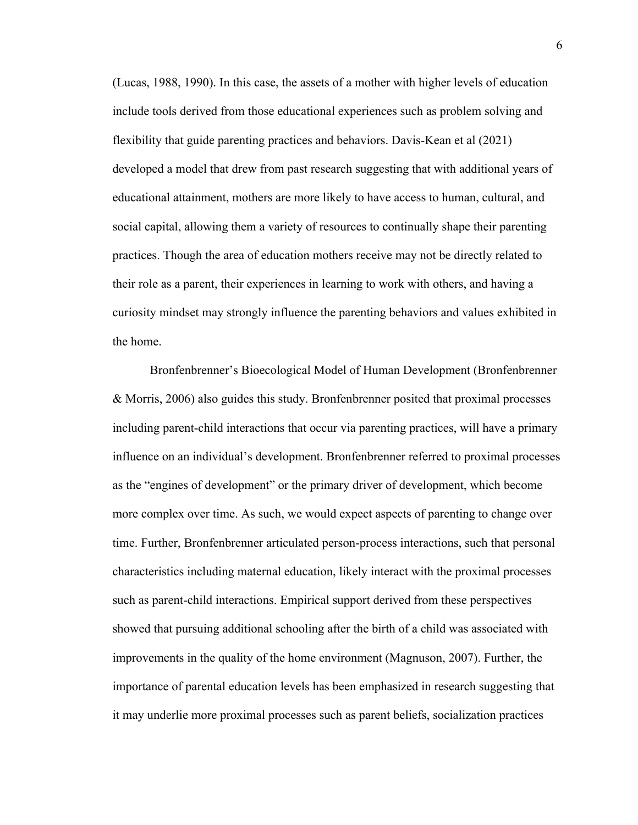(Lucas, 1988, 1990). In this case, the assets of a mother with higher levels of education include tools derived from those educational experiences such as problem solving and flexibility that guide parenting practices and behaviors. Davis-Kean et al (2021) developed a model that drew from past research suggesting that with additional years of educational attainment, mothers are more likely to have access to human, cultural, and social capital, allowing them a variety of resources to continually shape their parenting practices. Though the area of education mothers receive may not be directly related to their role as a parent, their experiences in learning to work with others, and having a curiosity mindset may strongly influence the parenting behaviors and values exhibited in the home.

Bronfenbrenner's Bioecological Model of Human Development (Bronfenbrenner & Morris, 2006) also guides this study. Bronfenbrenner posited that proximal processes including parent-child interactions that occur via parenting practices, will have a primary influence on an individual's development. Bronfenbrenner referred to proximal processes as the "engines of development" or the primary driver of development, which become more complex over time. As such, we would expect aspects of parenting to change over time. Further, Bronfenbrenner articulated person-process interactions, such that personal characteristics including maternal education, likely interact with the proximal processes such as parent-child interactions. Empirical support derived from these perspectives showed that pursuing additional schooling after the birth of a child was associated with improvements in the quality of the home environment (Magnuson, 2007). Further, the importance of parental education levels has been emphasized in research suggesting that it may underlie more proximal processes such as parent beliefs, socialization practices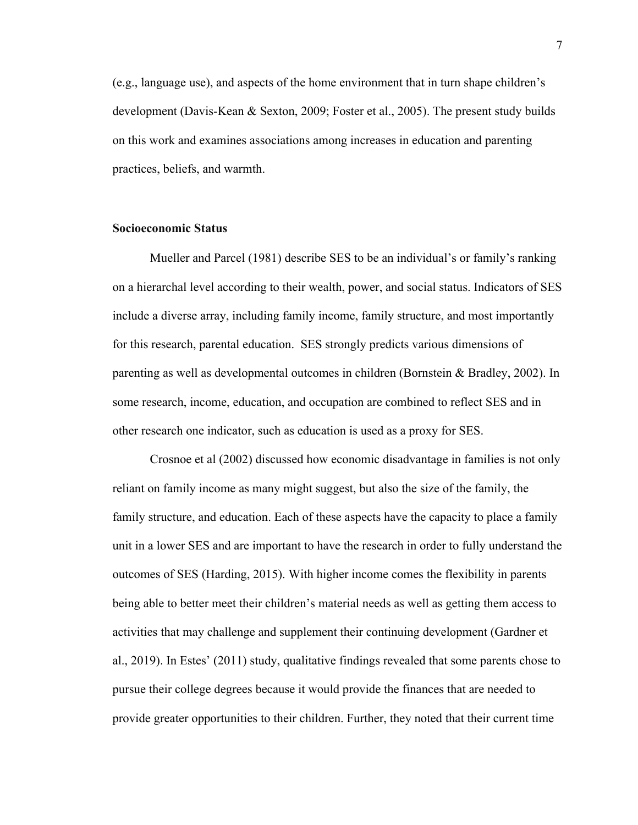(e.g., language use), and aspects of the home environment that in turn shape children's development (Davis-Kean & Sexton, 2009; Foster et al., 2005). The present study builds on this work and examines associations among increases in education and parenting practices, beliefs, and warmth.

#### **Socioeconomic Status**

Mueller and Parcel (1981) describe SES to be an individual's or family's ranking on a hierarchal level according to their wealth, power, and social status. Indicators of SES include a diverse array, including family income, family structure, and most importantly for this research, parental education. SES strongly predicts various dimensions of parenting as well as developmental outcomes in children (Bornstein & Bradley, 2002). In some research, income, education, and occupation are combined to reflect SES and in other research one indicator, such as education is used as a proxy for SES.

Crosnoe et al (2002) discussed how economic disadvantage in families is not only reliant on family income as many might suggest, but also the size of the family, the family structure, and education. Each of these aspects have the capacity to place a family unit in a lower SES and are important to have the research in order to fully understand the outcomes of SES (Harding, 2015). With higher income comes the flexibility in parents being able to better meet their children's material needs as well as getting them access to activities that may challenge and supplement their continuing development (Gardner et al., 2019). In Estes' (2011) study, qualitative findings revealed that some parents chose to pursue their college degrees because it would provide the finances that are needed to provide greater opportunities to their children. Further, they noted that their current time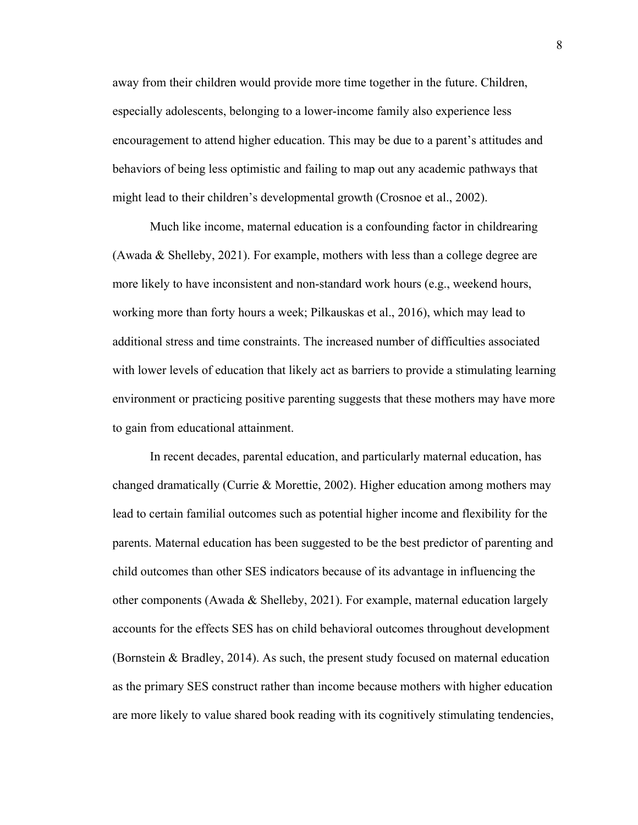away from their children would provide more time together in the future. Children, especially adolescents, belonging to a lower-income family also experience less encouragement to attend higher education. This may be due to a parent's attitudes and behaviors of being less optimistic and failing to map out any academic pathways that might lead to their children's developmental growth (Crosnoe et al., 2002).

Much like income, maternal education is a confounding factor in childrearing (Awada & Shelleby, 2021). For example, mothers with less than a college degree are more likely to have inconsistent and non-standard work hours (e.g., weekend hours, working more than forty hours a week; Pilkauskas et al., 2016), which may lead to additional stress and time constraints. The increased number of difficulties associated with lower levels of education that likely act as barriers to provide a stimulating learning environment or practicing positive parenting suggests that these mothers may have more to gain from educational attainment.

In recent decades, parental education, and particularly maternal education, has changed dramatically (Currie & Morettie, 2002). Higher education among mothers may lead to certain familial outcomes such as potential higher income and flexibility for the parents. Maternal education has been suggested to be the best predictor of parenting and child outcomes than other SES indicators because of its advantage in influencing the other components (Awada & Shelleby, 2021). For example, maternal education largely accounts for the effects SES has on child behavioral outcomes throughout development (Bornstein & Bradley, 2014). As such, the present study focused on maternal education as the primary SES construct rather than income because mothers with higher education are more likely to value shared book reading with its cognitively stimulating tendencies,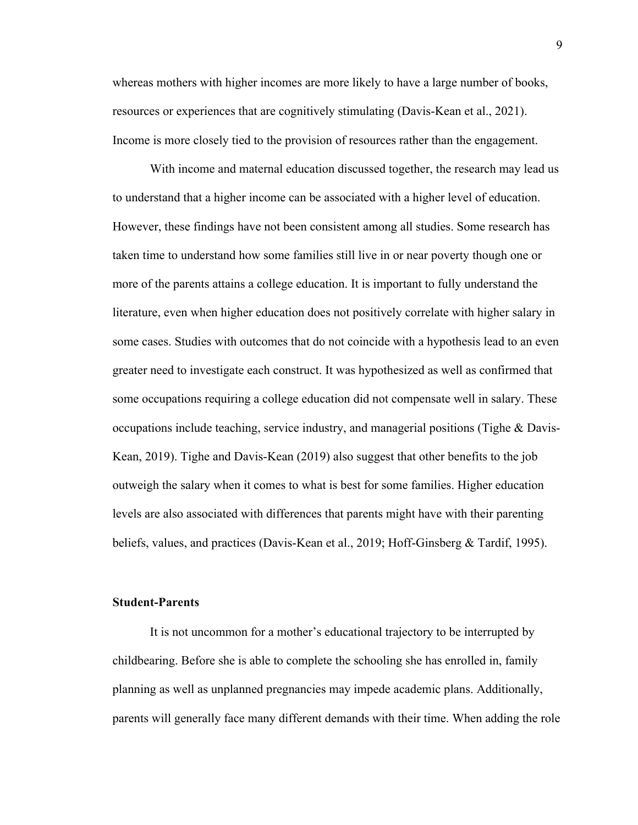whereas mothers with higher incomes are more likely to have a large number of books, resources or experiences that are cognitively stimulating (Davis-Kean et al., 2021). Income is more closely tied to the provision of resources rather than the engagement.

With income and maternal education discussed together, the research may lead us to understand that a higher income can be associated with a higher level of education. However, these findings have not been consistent among all studies. Some research has taken time to understand how some families still live in or near poverty though one or more of the parents attains a college education. It is important to fully understand the literature, even when higher education does not positively correlate with higher salary in some cases. Studies with outcomes that do not coincide with a hypothesis lead to an even greater need to investigate each construct. It was hypothesized as well as confirmed that some occupations requiring a college education did not compensate well in salary. These occupations include teaching, service industry, and managerial positions (Tighe & Davis-Kean, 2019). Tighe and Davis-Kean (2019) also suggest that other benefits to the job outweigh the salary when it comes to what is best for some families. Higher education levels are also associated with differences that parents might have with their parenting beliefs, values, and practices (Davis-Kean et al., 2019; Hoff-Ginsberg & Tardif, 1995).

#### **Student-Parents**

It is not uncommon for a mother's educational trajectory to be interrupted by childbearing. Before she is able to complete the schooling she has enrolled in, family planning as well as unplanned pregnancies may impede academic plans. Additionally, parents will generally face many different demands with their time. When adding the role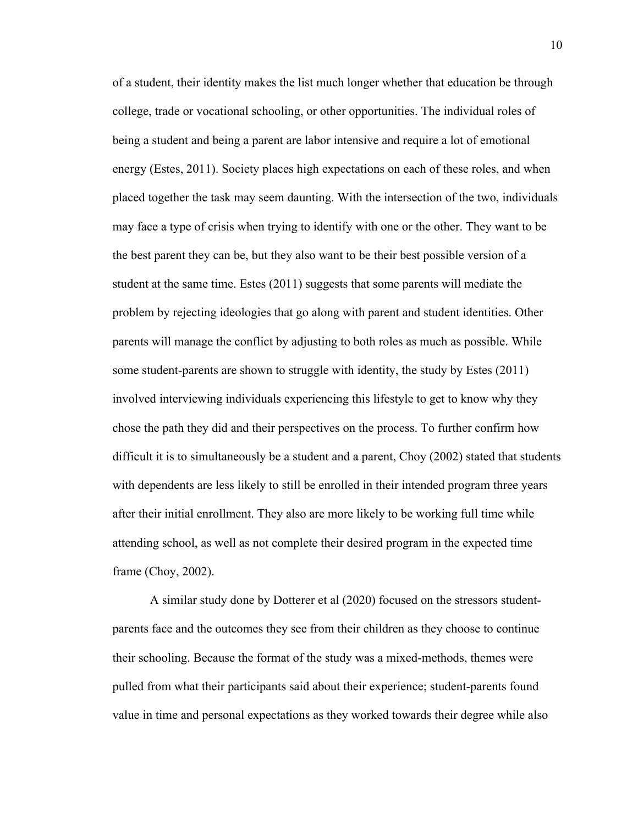of a student, their identity makes the list much longer whether that education be through college, trade or vocational schooling, or other opportunities. The individual roles of being a student and being a parent are labor intensive and require a lot of emotional energy (Estes, 2011). Society places high expectations on each of these roles, and when placed together the task may seem daunting. With the intersection of the two, individuals may face a type of crisis when trying to identify with one or the other. They want to be the best parent they can be, but they also want to be their best possible version of a student at the same time. Estes (2011) suggests that some parents will mediate the problem by rejecting ideologies that go along with parent and student identities. Other parents will manage the conflict by adjusting to both roles as much as possible. While some student-parents are shown to struggle with identity, the study by Estes (2011) involved interviewing individuals experiencing this lifestyle to get to know why they chose the path they did and their perspectives on the process. To further confirm how difficult it is to simultaneously be a student and a parent, Choy (2002) stated that students with dependents are less likely to still be enrolled in their intended program three years after their initial enrollment. They also are more likely to be working full time while attending school, as well as not complete their desired program in the expected time frame (Choy, 2002).

A similar study done by Dotterer et al (2020) focused on the stressors studentparents face and the outcomes they see from their children as they choose to continue their schooling. Because the format of the study was a mixed-methods, themes were pulled from what their participants said about their experience; student-parents found value in time and personal expectations as they worked towards their degree while also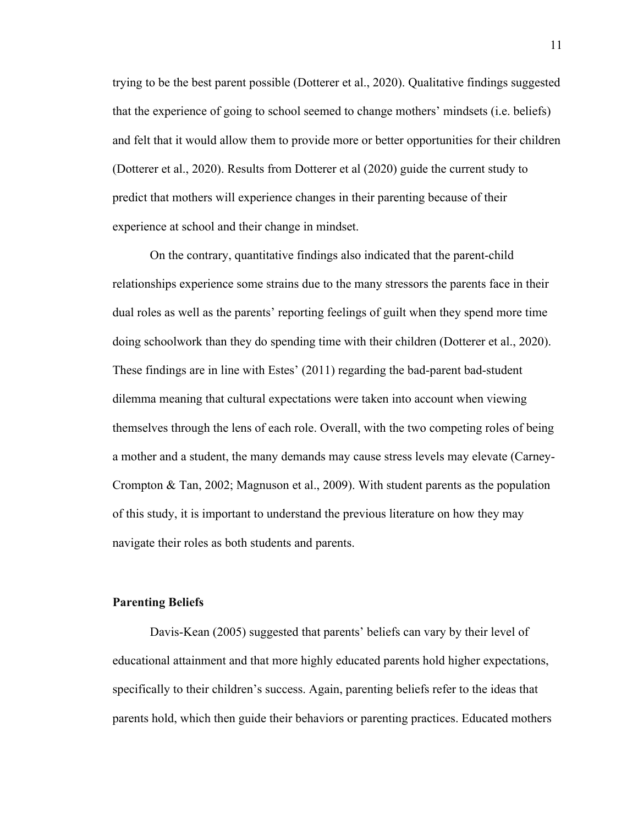trying to be the best parent possible (Dotterer et al., 2020). Qualitative findings suggested that the experience of going to school seemed to change mothers' mindsets (i.e. beliefs) and felt that it would allow them to provide more or better opportunities for their children (Dotterer et al., 2020). Results from Dotterer et al (2020) guide the current study to predict that mothers will experience changes in their parenting because of their experience at school and their change in mindset.

On the contrary, quantitative findings also indicated that the parent-child relationships experience some strains due to the many stressors the parents face in their dual roles as well as the parents' reporting feelings of guilt when they spend more time doing schoolwork than they do spending time with their children (Dotterer et al., 2020). These findings are in line with Estes' (2011) regarding the bad-parent bad-student dilemma meaning that cultural expectations were taken into account when viewing themselves through the lens of each role. Overall, with the two competing roles of being a mother and a student, the many demands may cause stress levels may elevate (Carney-Crompton & Tan, 2002; Magnuson et al., 2009). With student parents as the population of this study, it is important to understand the previous literature on how they may navigate their roles as both students and parents.

### **Parenting Beliefs**

Davis-Kean (2005) suggested that parents' beliefs can vary by their level of educational attainment and that more highly educated parents hold higher expectations, specifically to their children's success. Again, parenting beliefs refer to the ideas that parents hold, which then guide their behaviors or parenting practices. Educated mothers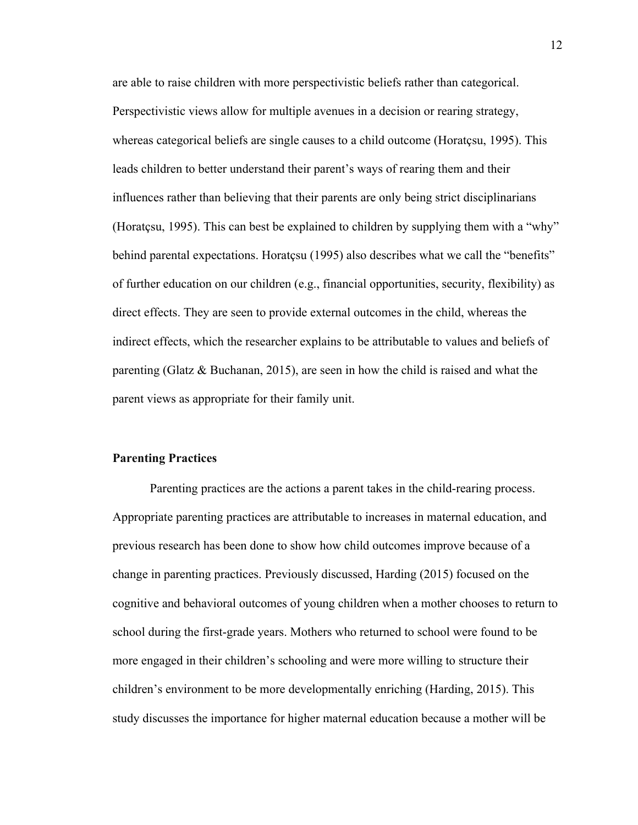are able to raise children with more perspectivistic beliefs rather than categorical. Perspectivistic views allow for multiple avenues in a decision or rearing strategy, whereas categorical beliefs are single causes to a child outcome (Horatçsu, 1995). This leads children to better understand their parent's ways of rearing them and their influences rather than believing that their parents are only being strict disciplinarians (Horatçsu, 1995). This can best be explained to children by supplying them with a "why" behind parental expectations. Horatçsu (1995) also describes what we call the "benefits" of further education on our children (e.g., financial opportunities, security, flexibility) as direct effects. They are seen to provide external outcomes in the child, whereas the indirect effects, which the researcher explains to be attributable to values and beliefs of parenting (Glatz & Buchanan, 2015), are seen in how the child is raised and what the parent views as appropriate for their family unit.

### **Parenting Practices**

Parenting practices are the actions a parent takes in the child-rearing process. Appropriate parenting practices are attributable to increases in maternal education, and previous research has been done to show how child outcomes improve because of a change in parenting practices. Previously discussed, Harding (2015) focused on the cognitive and behavioral outcomes of young children when a mother chooses to return to school during the first-grade years. Mothers who returned to school were found to be more engaged in their children's schooling and were more willing to structure their children's environment to be more developmentally enriching (Harding, 2015). This study discusses the importance for higher maternal education because a mother will be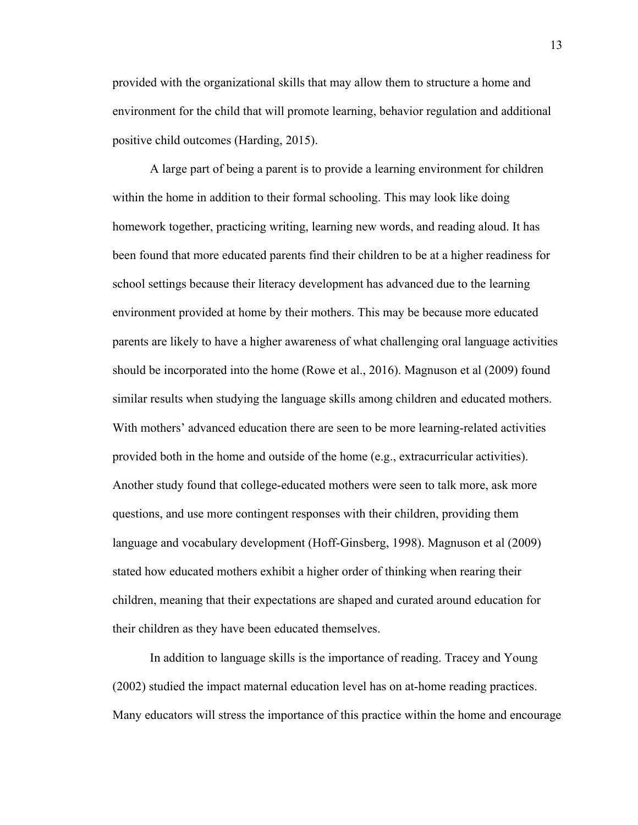provided with the organizational skills that may allow them to structure a home and environment for the child that will promote learning, behavior regulation and additional positive child outcomes (Harding, 2015).

A large part of being a parent is to provide a learning environment for children within the home in addition to their formal schooling. This may look like doing homework together, practicing writing, learning new words, and reading aloud. It has been found that more educated parents find their children to be at a higher readiness for school settings because their literacy development has advanced due to the learning environment provided at home by their mothers. This may be because more educated parents are likely to have a higher awareness of what challenging oral language activities should be incorporated into the home (Rowe et al., 2016). Magnuson et al (2009) found similar results when studying the language skills among children and educated mothers. With mothers' advanced education there are seen to be more learning-related activities provided both in the home and outside of the home (e.g., extracurricular activities). Another study found that college-educated mothers were seen to talk more, ask more questions, and use more contingent responses with their children, providing them language and vocabulary development (Hoff-Ginsberg, 1998). Magnuson et al (2009) stated how educated mothers exhibit a higher order of thinking when rearing their children, meaning that their expectations are shaped and curated around education for their children as they have been educated themselves.

In addition to language skills is the importance of reading. Tracey and Young (2002) studied the impact maternal education level has on at-home reading practices. Many educators will stress the importance of this practice within the home and encourage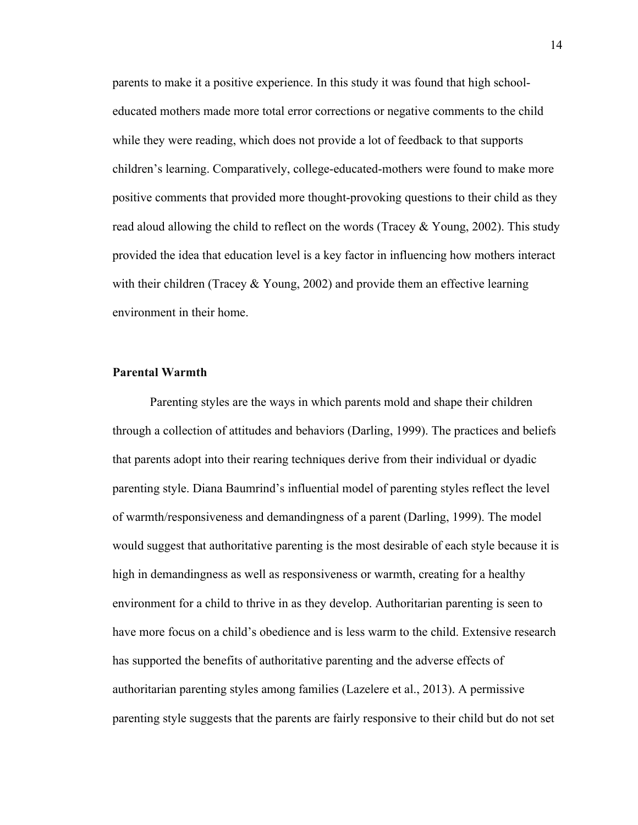parents to make it a positive experience. In this study it was found that high schooleducated mothers made more total error corrections or negative comments to the child while they were reading, which does not provide a lot of feedback to that supports children's learning. Comparatively, college-educated-mothers were found to make more positive comments that provided more thought-provoking questions to their child as they read aloud allowing the child to reflect on the words (Tracey  $& Young, 2002$ ). This study provided the idea that education level is a key factor in influencing how mothers interact with their children (Tracey  $& Young, 2002$ ) and provide them an effective learning environment in their home.

## **Parental Warmth**

Parenting styles are the ways in which parents mold and shape their children through a collection of attitudes and behaviors (Darling, 1999). The practices and beliefs that parents adopt into their rearing techniques derive from their individual or dyadic parenting style. Diana Baumrind's influential model of parenting styles reflect the level of warmth/responsiveness and demandingness of a parent (Darling, 1999). The model would suggest that authoritative parenting is the most desirable of each style because it is high in demandingness as well as responsiveness or warmth, creating for a healthy environment for a child to thrive in as they develop. Authoritarian parenting is seen to have more focus on a child's obedience and is less warm to the child. Extensive research has supported the benefits of authoritative parenting and the adverse effects of authoritarian parenting styles among families (Lazelere et al., 2013). A permissive parenting style suggests that the parents are fairly responsive to their child but do not set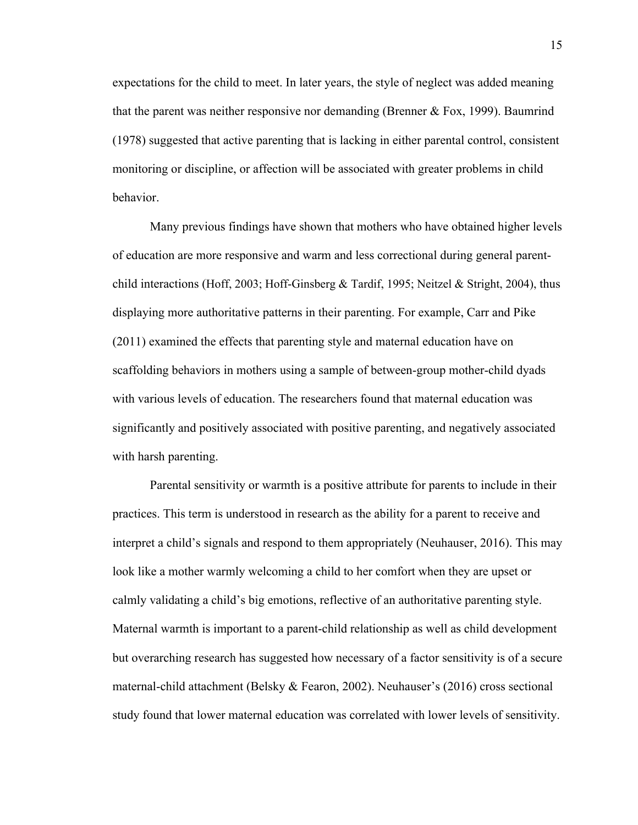expectations for the child to meet. In later years, the style of neglect was added meaning that the parent was neither responsive nor demanding (Brenner & Fox, 1999). Baumrind (1978) suggested that active parenting that is lacking in either parental control, consistent monitoring or discipline, or affection will be associated with greater problems in child behavior.

Many previous findings have shown that mothers who have obtained higher levels of education are more responsive and warm and less correctional during general parentchild interactions (Hoff, 2003; Hoff-Ginsberg & Tardif, 1995; Neitzel & Stright, 2004), thus displaying more authoritative patterns in their parenting. For example, Carr and Pike (2011) examined the effects that parenting style and maternal education have on scaffolding behaviors in mothers using a sample of between-group mother-child dyads with various levels of education. The researchers found that maternal education was significantly and positively associated with positive parenting, and negatively associated with harsh parenting.

Parental sensitivity or warmth is a positive attribute for parents to include in their practices. This term is understood in research as the ability for a parent to receive and interpret a child's signals and respond to them appropriately (Neuhauser, 2016). This may look like a mother warmly welcoming a child to her comfort when they are upset or calmly validating a child's big emotions, reflective of an authoritative parenting style. Maternal warmth is important to a parent-child relationship as well as child development but overarching research has suggested how necessary of a factor sensitivity is of a secure maternal-child attachment (Belsky & Fearon, 2002). Neuhauser's (2016) cross sectional study found that lower maternal education was correlated with lower levels of sensitivity.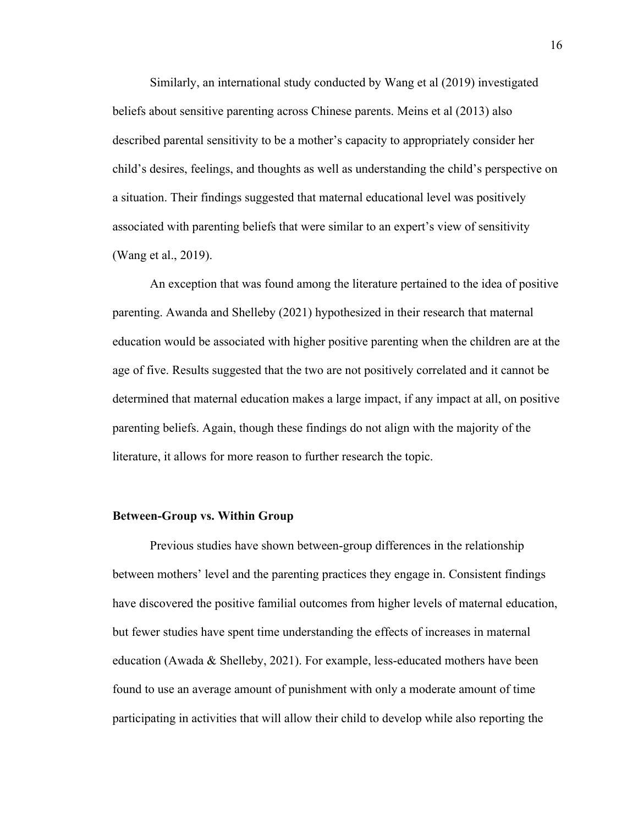Similarly, an international study conducted by Wang et al (2019) investigated beliefs about sensitive parenting across Chinese parents. Meins et al (2013) also described parental sensitivity to be a mother's capacity to appropriately consider her child's desires, feelings, and thoughts as well as understanding the child's perspective on a situation. Their findings suggested that maternal educational level was positively associated with parenting beliefs that were similar to an expert's view of sensitivity (Wang et al., 2019).

An exception that was found among the literature pertained to the idea of positive parenting. Awanda and Shelleby (2021) hypothesized in their research that maternal education would be associated with higher positive parenting when the children are at the age of five. Results suggested that the two are not positively correlated and it cannot be determined that maternal education makes a large impact, if any impact at all, on positive parenting beliefs. Again, though these findings do not align with the majority of the literature, it allows for more reason to further research the topic.

### **Between-Group vs. Within Group**

Previous studies have shown between-group differences in the relationship between mothers' level and the parenting practices they engage in. Consistent findings have discovered the positive familial outcomes from higher levels of maternal education, but fewer studies have spent time understanding the effects of increases in maternal education (Awada & Shelleby, 2021). For example, less-educated mothers have been found to use an average amount of punishment with only a moderate amount of time participating in activities that will allow their child to develop while also reporting the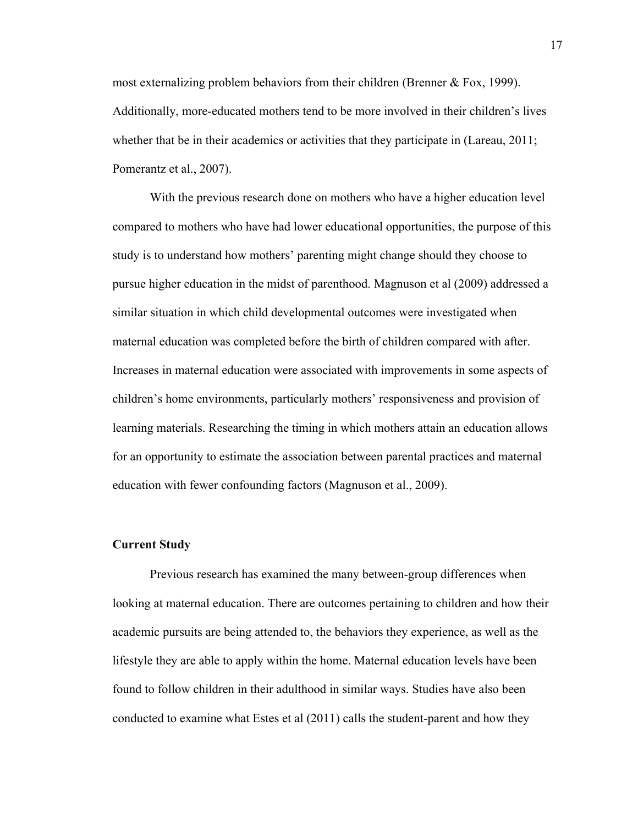most externalizing problem behaviors from their children (Brenner & Fox, 1999). Additionally, more-educated mothers tend to be more involved in their children's lives whether that be in their academics or activities that they participate in (Lareau, 2011; Pomerantz et al., 2007).

With the previous research done on mothers who have a higher education level compared to mothers who have had lower educational opportunities, the purpose of this study is to understand how mothers' parenting might change should they choose to pursue higher education in the midst of parenthood. Magnuson et al (2009) addressed a similar situation in which child developmental outcomes were investigated when maternal education was completed before the birth of children compared with after. Increases in maternal education were associated with improvements in some aspects of children's home environments, particularly mothers' responsiveness and provision of learning materials. Researching the timing in which mothers attain an education allows for an opportunity to estimate the association between parental practices and maternal education with fewer confounding factors (Magnuson et al., 2009).

#### **Current Study**

Previous research has examined the many between-group differences when looking at maternal education. There are outcomes pertaining to children and how their academic pursuits are being attended to, the behaviors they experience, as well as the lifestyle they are able to apply within the home. Maternal education levels have been found to follow children in their adulthood in similar ways. Studies have also been conducted to examine what Estes et al (2011) calls the student-parent and how they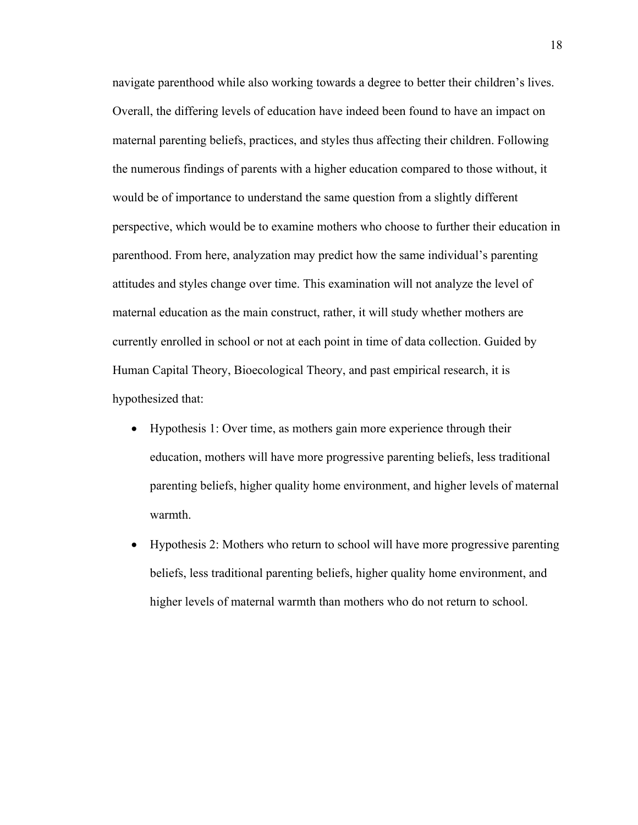navigate parenthood while also working towards a degree to better their children's lives. Overall, the differing levels of education have indeed been found to have an impact on maternal parenting beliefs, practices, and styles thus affecting their children. Following the numerous findings of parents with a higher education compared to those without, it would be of importance to understand the same question from a slightly different perspective, which would be to examine mothers who choose to further their education in parenthood. From here, analyzation may predict how the same individual's parenting attitudes and styles change over time. This examination will not analyze the level of maternal education as the main construct, rather, it will study whether mothers are currently enrolled in school or not at each point in time of data collection. Guided by Human Capital Theory, Bioecological Theory, and past empirical research, it is hypothesized that:

- Hypothesis 1: Over time, as mothers gain more experience through their education, mothers will have more progressive parenting beliefs, less traditional parenting beliefs, higher quality home environment, and higher levels of maternal warmth.
- Hypothesis 2: Mothers who return to school will have more progressive parenting beliefs, less traditional parenting beliefs, higher quality home environment, and higher levels of maternal warmth than mothers who do not return to school.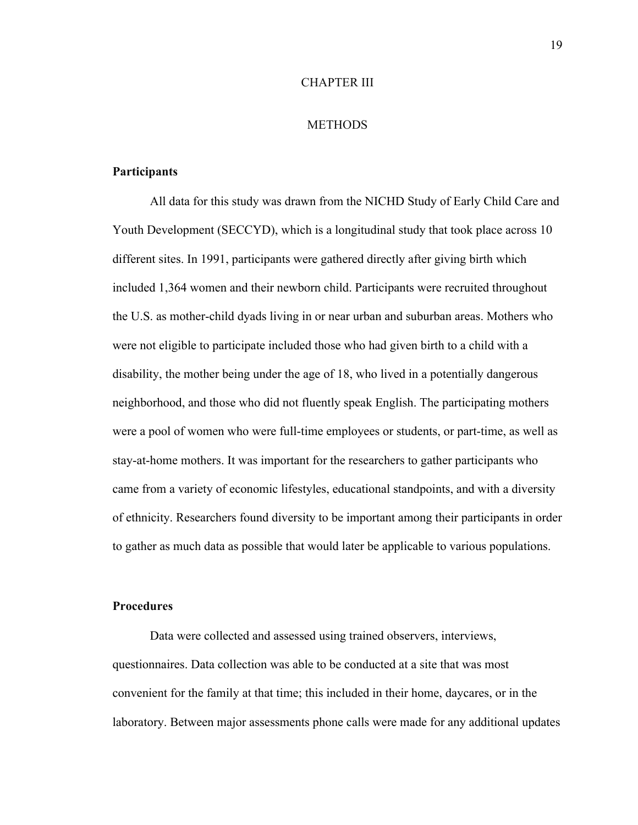#### CHAPTER III

#### **METHODS**

#### **Participants**

All data for this study was drawn from the NICHD Study of Early Child Care and Youth Development (SECCYD), which is a longitudinal study that took place across 10 different sites. In 1991, participants were gathered directly after giving birth which included 1,364 women and their newborn child. Participants were recruited throughout the U.S. as mother-child dyads living in or near urban and suburban areas. Mothers who were not eligible to participate included those who had given birth to a child with a disability, the mother being under the age of 18, who lived in a potentially dangerous neighborhood, and those who did not fluently speak English. The participating mothers were a pool of women who were full-time employees or students, or part-time, as well as stay-at-home mothers. It was important for the researchers to gather participants who came from a variety of economic lifestyles, educational standpoints, and with a diversity of ethnicity. Researchers found diversity to be important among their participants in order to gather as much data as possible that would later be applicable to various populations.

#### **Procedures**

Data were collected and assessed using trained observers, interviews, questionnaires. Data collection was able to be conducted at a site that was most convenient for the family at that time; this included in their home, daycares, or in the laboratory. Between major assessments phone calls were made for any additional updates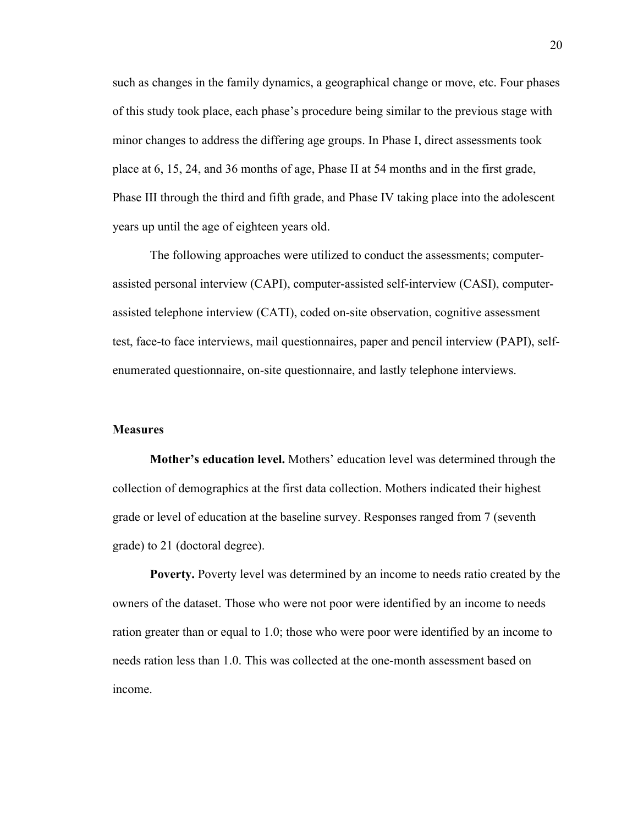such as changes in the family dynamics, a geographical change or move, etc. Four phases of this study took place, each phase's procedure being similar to the previous stage with minor changes to address the differing age groups. In Phase I, direct assessments took place at 6, 15, 24, and 36 months of age, Phase II at 54 months and in the first grade, Phase III through the third and fifth grade, and Phase IV taking place into the adolescent years up until the age of eighteen years old.

The following approaches were utilized to conduct the assessments; computerassisted personal interview (CAPI), computer-assisted self-interview (CASI), computerassisted telephone interview (CATI), coded on-site observation, cognitive assessment test, face-to face interviews, mail questionnaires, paper and pencil interview (PAPI), selfenumerated questionnaire, on-site questionnaire, and lastly telephone interviews.

#### **Measures**

**Mother's education level.** Mothers' education level was determined through the collection of demographics at the first data collection. Mothers indicated their highest grade or level of education at the baseline survey. Responses ranged from 7 (seventh grade) to 21 (doctoral degree).

**Poverty.** Poverty level was determined by an income to needs ratio created by the owners of the dataset. Those who were not poor were identified by an income to needs ration greater than or equal to 1.0; those who were poor were identified by an income to needs ration less than 1.0. This was collected at the one-month assessment based on income.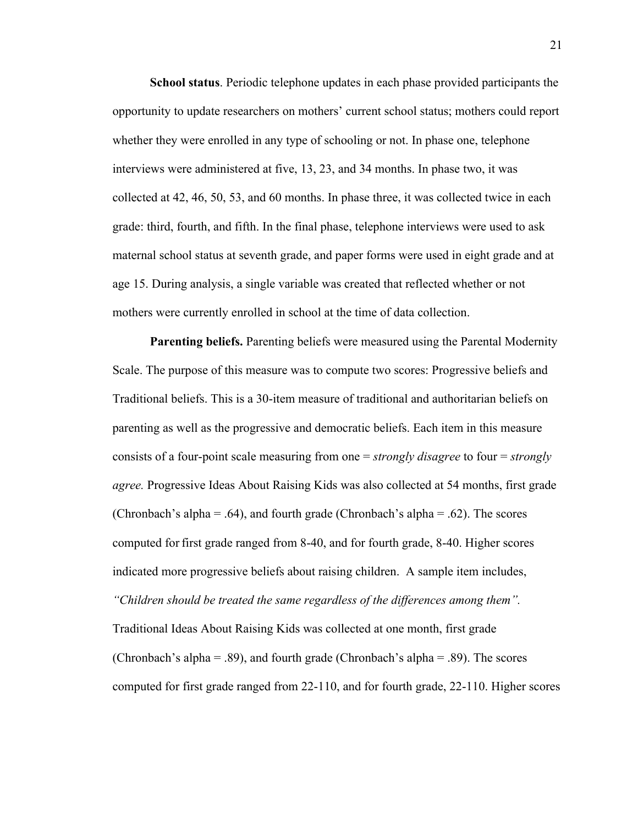**School status**. Periodic telephone updates in each phase provided participants the opportunity to update researchers on mothers' current school status; mothers could report whether they were enrolled in any type of schooling or not. In phase one, telephone interviews were administered at five, 13, 23, and 34 months. In phase two, it was collected at 42, 46, 50, 53, and 60 months. In phase three, it was collected twice in each grade: third, fourth, and fifth. In the final phase, telephone interviews were used to ask maternal school status at seventh grade, and paper forms were used in eight grade and at age 15. During analysis, a single variable was created that reflected whether or not mothers were currently enrolled in school at the time of data collection.

**Parenting beliefs.** Parenting beliefs were measured using the Parental Modernity Scale. The purpose of this measure was to compute two scores: Progressive beliefs and Traditional beliefs. This is a 30-item measure of traditional and authoritarian beliefs on parenting as well as the progressive and democratic beliefs. Each item in this measure consists of a four-point scale measuring from one = *strongly disagree* to four = *strongly agree.* Progressive Ideas About Raising Kids was also collected at 54 months, first grade (Chronbach's alpha = .64), and fourth grade (Chronbach's alpha = .62). The scores computed for first grade ranged from 8-40, and for fourth grade, 8-40. Higher scores indicated more progressive beliefs about raising children. A sample item includes, *"Children should be treated the same regardless of the differences among them".*  Traditional Ideas About Raising Kids was collected at one month, first grade (Chronbach's alpha = .89), and fourth grade (Chronbach's alpha = .89). The scores computed for first grade ranged from 22-110, and for fourth grade, 22-110. Higher scores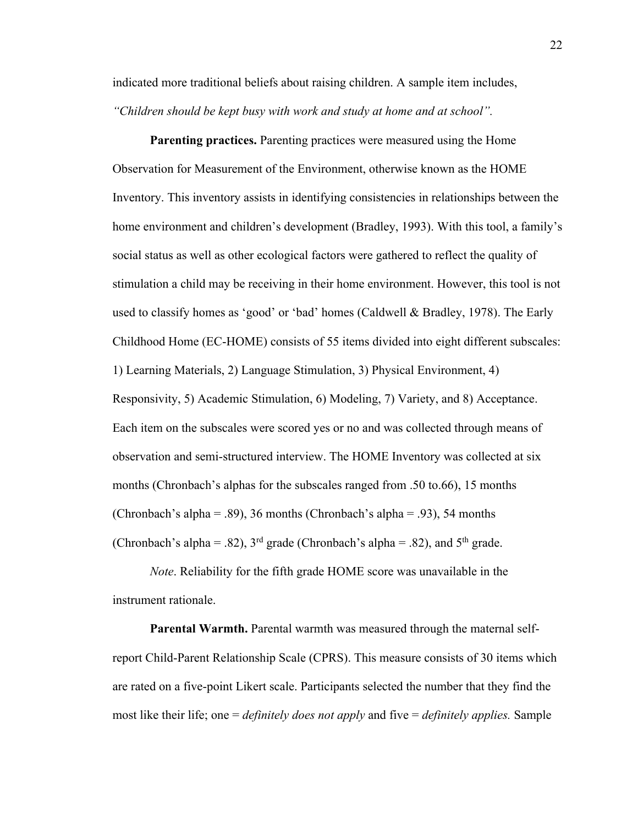indicated more traditional beliefs about raising children. A sample item includes, *"Children should be kept busy with work and study at home and at school".*

**Parenting practices.** Parenting practices were measured using the Home Observation for Measurement of the Environment, otherwise known as the HOME Inventory. This inventory assists in identifying consistencies in relationships between the home environment and children's development (Bradley, 1993). With this tool, a family's social status as well as other ecological factors were gathered to reflect the quality of stimulation a child may be receiving in their home environment. However, this tool is not used to classify homes as 'good' or 'bad' homes (Caldwell & Bradley, 1978). The Early Childhood Home (EC-HOME) consists of 55 items divided into eight different subscales: 1) Learning Materials, 2) Language Stimulation, 3) Physical Environment, 4) Responsivity, 5) Academic Stimulation, 6) Modeling, 7) Variety, and 8) Acceptance. Each item on the subscales were scored yes or no and was collected through means of observation and semi-structured interview. The HOME Inventory was collected at six months (Chronbach's alphas for the subscales ranged from .50 to.66), 15 months (Chronbach's alpha = .89), 36 months (Chronbach's alpha = .93), 54 months (Chronbach's alpha = .82),  $3<sup>rd</sup>$  grade (Chronbach's alpha = .82), and  $5<sup>th</sup>$  grade.

*Note*. Reliability for the fifth grade HOME score was unavailable in the instrument rationale.

**Parental Warmth.** Parental warmth was measured through the maternal selfreport Child-Parent Relationship Scale (CPRS). This measure consists of 30 items which are rated on a five-point Likert scale. Participants selected the number that they find the most like their life; one = *definitely does not apply* and five = *definitely applies.* Sample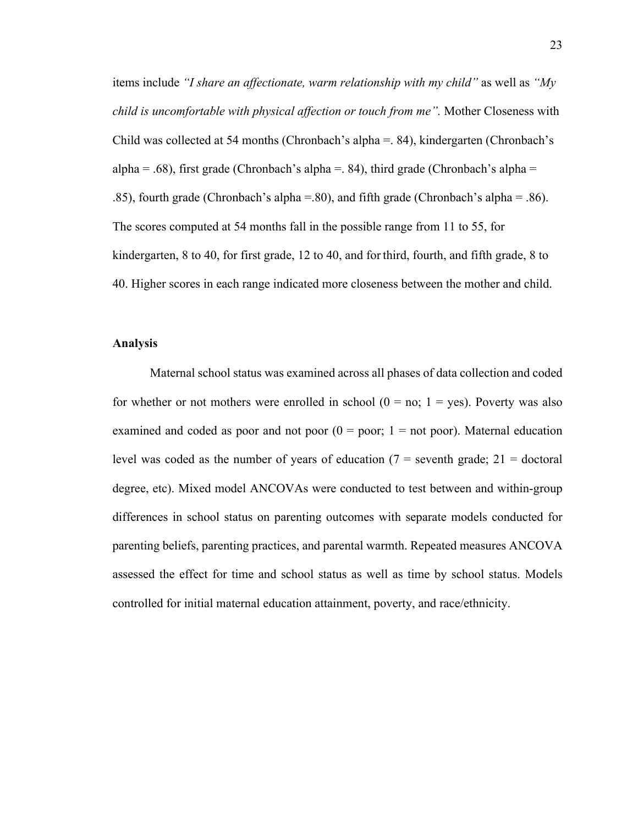items include *"I share an affectionate, warm relationship with my child"* as well as *"My child is uncomfortable with physical affection or touch from me".* Mother Closeness with Child was collected at 54 months (Chronbach's alpha =. 84), kindergarten (Chronbach's alpha = .68), first grade (Chronbach's alpha = .84), third grade (Chronbach's alpha = .85), fourth grade (Chronbach's alpha =.80), and fifth grade (Chronbach's alpha = .86). The scores computed at 54 months fall in the possible range from 11 to 55, for kindergarten, 8 to 40, for first grade, 12 to 40, and for third, fourth, and fifth grade, 8 to 40. Higher scores in each range indicated more closeness between the mother and child.

### **Analysis**

Maternal school status was examined across all phases of data collection and coded for whether or not mothers were enrolled in school  $(0 = no; 1 = yes)$ . Poverty was also examined and coded as poor and not poor  $(0 = poor; 1 = not poor)$ . Maternal education level was coded as the number of years of education  $(7 =$  seventh grade;  $21 =$  doctoral degree, etc). Mixed model ANCOVAs were conducted to test between and within-group differences in school status on parenting outcomes with separate models conducted for parenting beliefs, parenting practices, and parental warmth. Repeated measures ANCOVA assessed the effect for time and school status as well as time by school status. Models controlled for initial maternal education attainment, poverty, and race/ethnicity.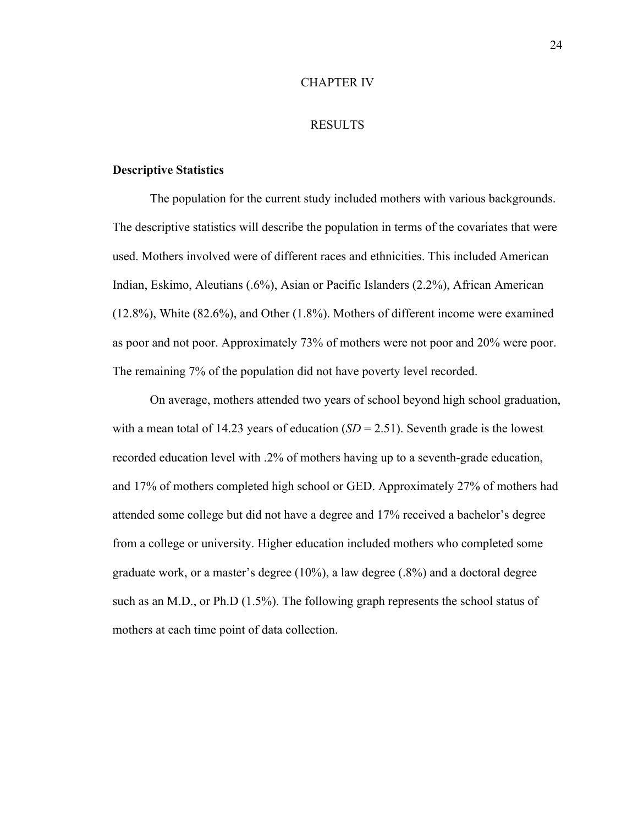#### CHAPTER IV

#### RESULTS

#### **Descriptive Statistics**

The population for the current study included mothers with various backgrounds. The descriptive statistics will describe the population in terms of the covariates that were used. Mothers involved were of different races and ethnicities. This included American Indian, Eskimo, Aleutians (.6%), Asian or Pacific Islanders (2.2%), African American (12.8%), White (82.6%), and Other (1.8%). Mothers of different income were examined as poor and not poor. Approximately 73% of mothers were not poor and 20% were poor. The remaining 7% of the population did not have poverty level recorded.

On average, mothers attended two years of school beyond high school graduation, with a mean total of 14.23 years of education  $(SD = 2.51)$ . Seventh grade is the lowest recorded education level with .2% of mothers having up to a seventh-grade education, and 17% of mothers completed high school or GED. Approximately 27% of mothers had attended some college but did not have a degree and 17% received a bachelor's degree from a college or university. Higher education included mothers who completed some graduate work, or a master's degree (10%), a law degree (.8%) and a doctoral degree such as an M.D., or Ph.D (1.5%). The following graph represents the school status of mothers at each time point of data collection.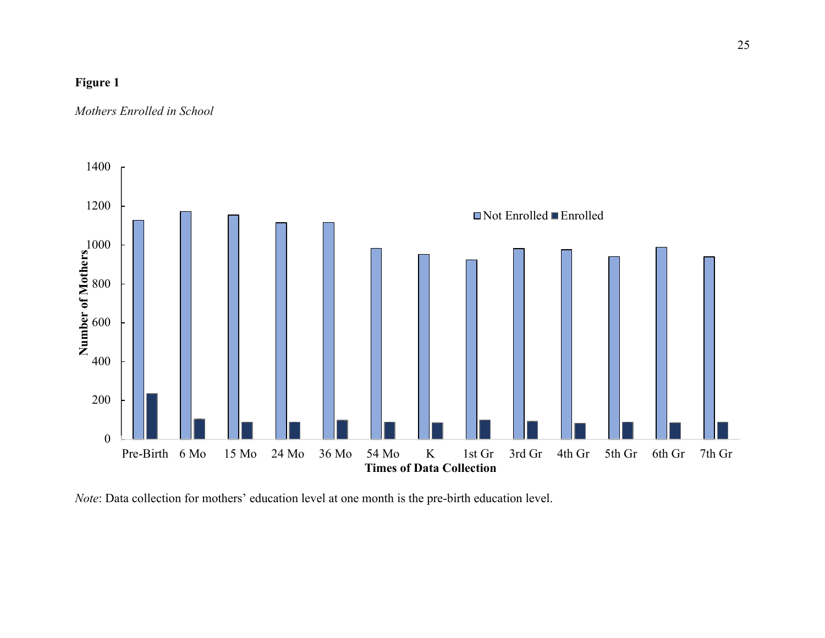## **Figure 1**

*Mothers Enrolled in School*



*Note*: Data collection for mothers' education level at one month is the pre-birth education level.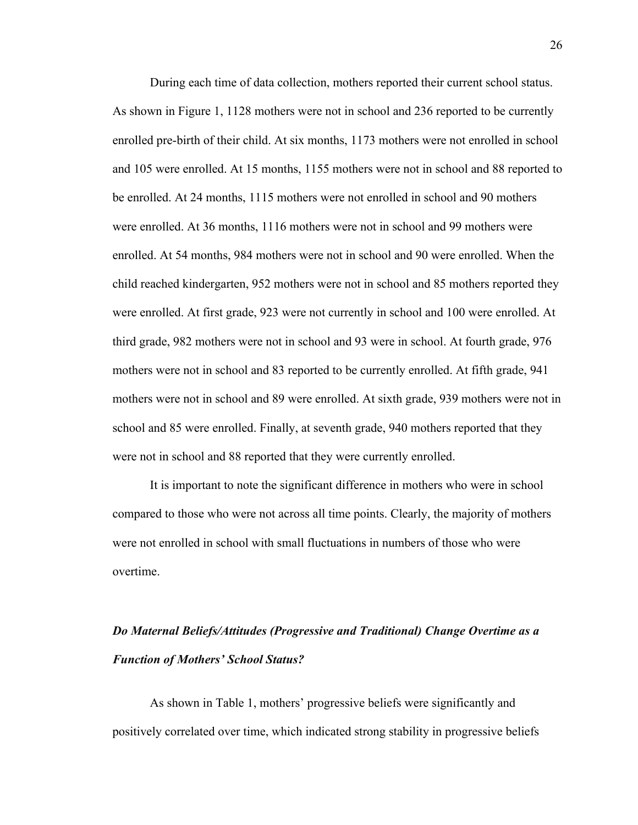During each time of data collection, mothers reported their current school status. As shown in Figure 1, 1128 mothers were not in school and 236 reported to be currently enrolled pre-birth of their child. At six months, 1173 mothers were not enrolled in school and 105 were enrolled. At 15 months, 1155 mothers were not in school and 88 reported to be enrolled. At 24 months, 1115 mothers were not enrolled in school and 90 mothers were enrolled. At 36 months, 1116 mothers were not in school and 99 mothers were enrolled. At 54 months, 984 mothers were not in school and 90 were enrolled. When the child reached kindergarten, 952 mothers were not in school and 85 mothers reported they were enrolled. At first grade, 923 were not currently in school and 100 were enrolled. At third grade, 982 mothers were not in school and 93 were in school. At fourth grade, 976 mothers were not in school and 83 reported to be currently enrolled. At fifth grade, 941 mothers were not in school and 89 were enrolled. At sixth grade, 939 mothers were not in school and 85 were enrolled. Finally, at seventh grade, 940 mothers reported that they were not in school and 88 reported that they were currently enrolled.

It is important to note the significant difference in mothers who were in school compared to those who were not across all time points. Clearly, the majority of mothers were not enrolled in school with small fluctuations in numbers of those who were overtime.

# *Do Maternal Beliefs/Attitudes (Progressive and Traditional) Change Overtime as a Function of Mothers' School Status?*

As shown in Table 1, mothers' progressive beliefs were significantly and positively correlated over time, which indicated strong stability in progressive beliefs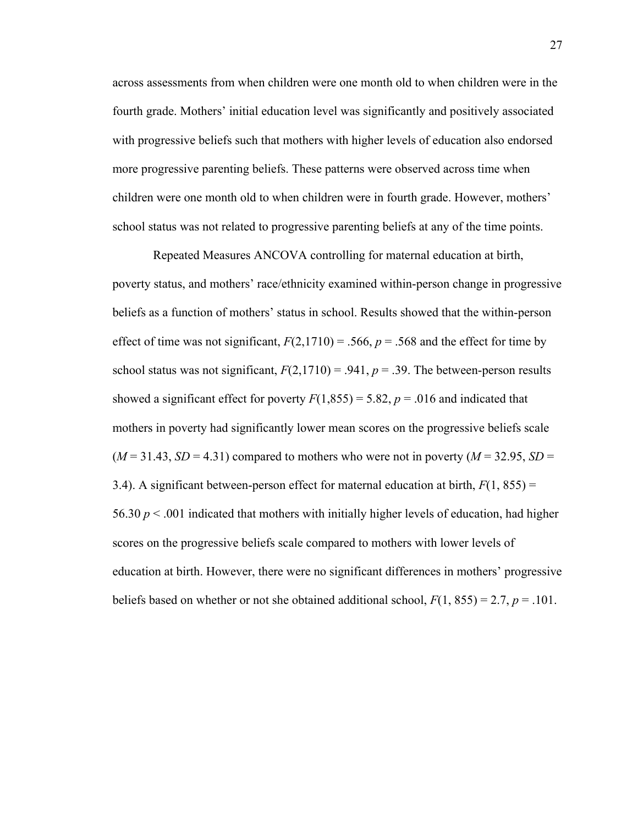across assessments from when children were one month old to when children were in the fourth grade. Mothers' initial education level was significantly and positively associated with progressive beliefs such that mothers with higher levels of education also endorsed more progressive parenting beliefs. These patterns were observed across time when children were one month old to when children were in fourth grade. However, mothers' school status was not related to progressive parenting beliefs at any of the time points.

Repeated Measures ANCOVA controlling for maternal education at birth, poverty status, and mothers' race/ethnicity examined within-person change in progressive beliefs as a function of mothers' status in school. Results showed that the within-person effect of time was not significant,  $F(2,1710) = .566$ ,  $p = .568$  and the effect for time by school status was not significant,  $F(2,1710) = .941$ ,  $p = .39$ . The between-person results showed a significant effect for poverty  $F(1,855) = 5.82$ ,  $p = .016$  and indicated that mothers in poverty had significantly lower mean scores on the progressive beliefs scale  $(M = 31.43, SD = 4.31)$  compared to mothers who were not in poverty  $(M = 32.95, SD =$ 3.4). A significant between-person effect for maternal education at birth,  $F(1, 855)$  = 56.30  $p < .001$  indicated that mothers with initially higher levels of education, had higher scores on the progressive beliefs scale compared to mothers with lower levels of education at birth. However, there were no significant differences in mothers' progressive beliefs based on whether or not she obtained additional school,  $F(1, 855) = 2.7$ ,  $p = .101$ .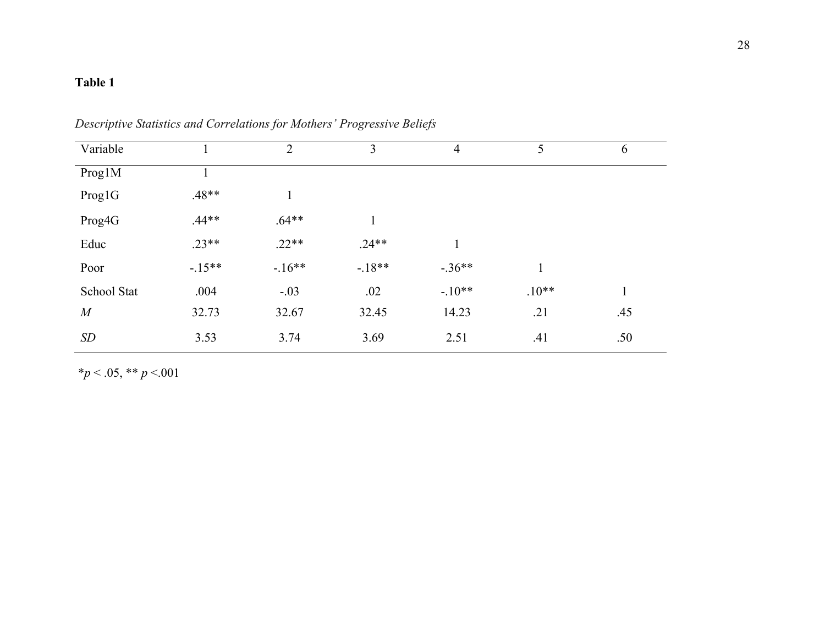## **Table 1**

| Variable         |          | 2       | $\overline{3}$ | $\overline{4}$ | 5       | 6   |
|------------------|----------|---------|----------------|----------------|---------|-----|
| Prog1M           |          |         |                |                |         |     |
| Prog1G           | $.48**$  |         |                |                |         |     |
| Prog4G           | $.44**$  | $.64**$ |                |                |         |     |
| Educ             | $.23**$  | $.22**$ | $.24**$        | $\mathbf{1}$   |         |     |
| Poor             | $-.15**$ | $-16**$ | $-.18**$       | $-.36**$       |         |     |
| School Stat      | .004     | $-.03$  | .02            | $-.10**$       | $.10**$ |     |
| $\boldsymbol{M}$ | 32.73    | 32.67   | 32.45          | 14.23          | .21     | .45 |
| <b>SD</b>        | 3.53     | 3.74    | 3.69           | 2.51           | .41     | .50 |

*Descriptive Statistics and Correlations for Mothers' Progressive Beliefs*

\**p* < .05, \*\* *p* <.001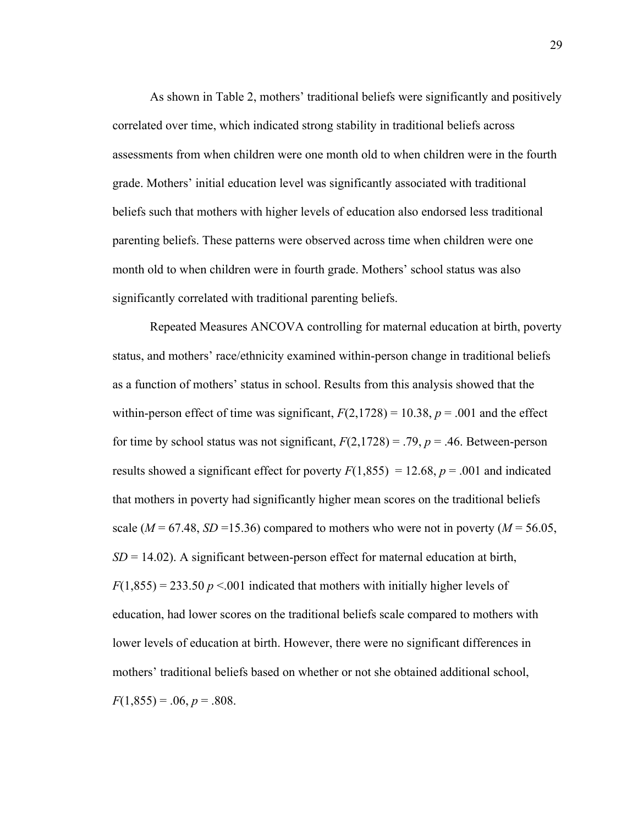As shown in Table 2, mothers' traditional beliefs were significantly and positively correlated over time, which indicated strong stability in traditional beliefs across assessments from when children were one month old to when children were in the fourth grade. Mothers' initial education level was significantly associated with traditional beliefs such that mothers with higher levels of education also endorsed less traditional parenting beliefs. These patterns were observed across time when children were one month old to when children were in fourth grade. Mothers' school status was also significantly correlated with traditional parenting beliefs.

Repeated Measures ANCOVA controlling for maternal education at birth, poverty status, and mothers' race/ethnicity examined within-person change in traditional beliefs as a function of mothers' status in school. Results from this analysis showed that the within-person effect of time was significant,  $F(2,1728) = 10.38$ ,  $p = .001$  and the effect for time by school status was not significant,  $F(2,1728) = .79$ ,  $p = .46$ . Between-person results showed a significant effect for poverty  $F(1,855) = 12.68$ ,  $p = .001$  and indicated that mothers in poverty had significantly higher mean scores on the traditional beliefs scale ( $M = 67.48$ ,  $SD = 15.36$ ) compared to mothers who were not in poverty ( $M = 56.05$ ,  $SD = 14.02$ ). A significant between-person effect for maternal education at birth,  $F(1,855) = 233.50 \, p \leq 0.001$  indicated that mothers with initially higher levels of education, had lower scores on the traditional beliefs scale compared to mothers with lower levels of education at birth. However, there were no significant differences in mothers' traditional beliefs based on whether or not she obtained additional school,  $F(1,855) = .06, p = .808.$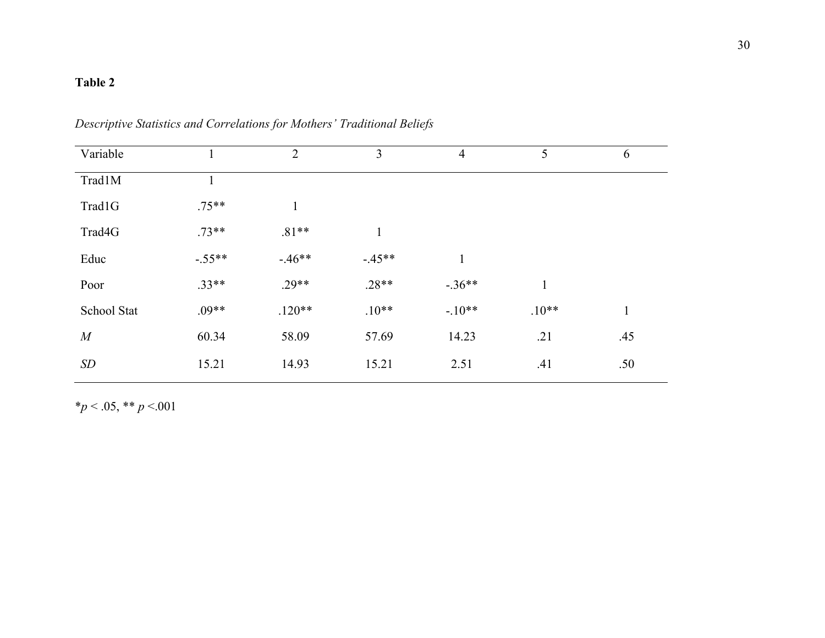## **Table 2**

| Variable       |          | $\overline{2}$ | 3            | $\overline{4}$ | 5       | 6            |
|----------------|----------|----------------|--------------|----------------|---------|--------------|
| Trad1M         | T.       |                |              |                |         |              |
| Trad1G         | $.75**$  | $\mathbf{1}$   |              |                |         |              |
| Trad4G         | $.73**$  | $.81**$        | $\mathbf{1}$ |                |         |              |
| Educ           | $-.55**$ | $-46**$        | $-.45**$     |                |         |              |
| Poor           | $.33**$  | $.29**$        | $.28**$      | $-.36**$       | 1       |              |
| School Stat    | $.09**$  | $.120**$       | $.10**$      | $-.10**$       | $.10**$ | $\mathbf{1}$ |
| $\overline{M}$ | 60.34    | 58.09          | 57.69        | 14.23          | .21     | .45          |
| SD             | 15.21    | 14.93          | 15.21        | 2.51           | .41     | .50          |

## *Descriptive Statistics and Correlations for Mothers' Traditional Beliefs*

\**p* < .05, \*\* *p* <.001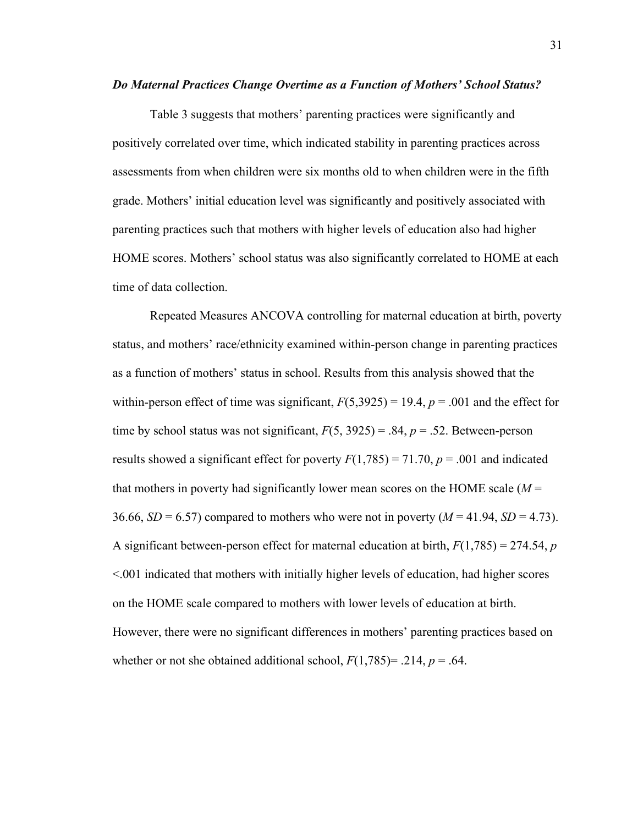#### *Do Maternal Practices Change Overtime as a Function of Mothers' School Status?*

Table 3 suggests that mothers' parenting practices were significantly and positively correlated over time, which indicated stability in parenting practices across assessments from when children were six months old to when children were in the fifth grade. Mothers' initial education level was significantly and positively associated with parenting practices such that mothers with higher levels of education also had higher HOME scores. Mothers' school status was also significantly correlated to HOME at each time of data collection.

Repeated Measures ANCOVA controlling for maternal education at birth, poverty status, and mothers' race/ethnicity examined within-person change in parenting practices as a function of mothers' status in school. Results from this analysis showed that the within-person effect of time was significant,  $F(5,3925) = 19.4$ ,  $p = .001$  and the effect for time by school status was not significant,  $F(5, 3925) = .84$ ,  $p = .52$ . Between-person results showed a significant effect for poverty  $F(1,785) = 71.70$ ,  $p = .001$  and indicated that mothers in poverty had significantly lower mean scores on the HOME scale (*M* = 36.66,  $SD = 6.57$  compared to mothers who were not in poverty  $(M = 41.94, SD = 4.73)$ . A significant between-person effect for maternal education at birth, *F*(1,785) = 274.54, *p* <.001 indicated that mothers with initially higher levels of education, had higher scores on the HOME scale compared to mothers with lower levels of education at birth. However, there were no significant differences in mothers' parenting practices based on whether or not she obtained additional school,  $F(1,785) = .214$ ,  $p = .64$ .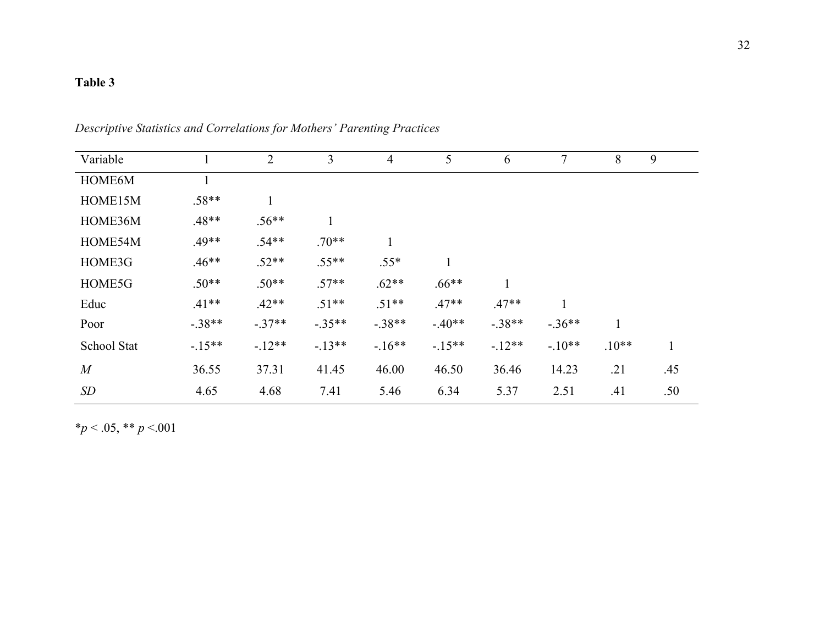## **Table 3**

| Variable    |          | $\overline{2}$ | 3        | $\overline{4}$ | 5        | 6        | $\overline{7}$ | 8       | 9   |
|-------------|----------|----------------|----------|----------------|----------|----------|----------------|---------|-----|
| HOME6M      |          |                |          |                |          |          |                |         |     |
| HOME15M     | $.58**$  |                |          |                |          |          |                |         |     |
| HOME36M     | $.48**$  | $.56**$        |          |                |          |          |                |         |     |
| HOME54M     | $.49**$  | $.54**$        | $.70**$  | 1              |          |          |                |         |     |
| HOME3G      | $.46**$  | $.52**$        | $.55**$  | $.55*$         |          |          |                |         |     |
| HOME5G      | $.50**$  | $.50**$        | $.57**$  | $.62**$        | $.66**$  |          |                |         |     |
| Educ        | $.41**$  | $.42**$        | $.51**$  | $.51**$        | $.47**$  | $.47**$  |                |         |     |
| Poor        | $-.38**$ | $-.37**$       | $-.35**$ | $-.38**$       | $-.40**$ | $-.38**$ | $-.36**$       |         |     |
| School Stat | $-15**$  | $-12**$        | $-13**$  | $-16**$        | $-15**$  | $-12**$  | $-.10**$       | $.10**$ |     |
| M           | 36.55    | 37.31          | 41.45    | 46.00          | 46.50    | 36.46    | 14.23          | .21     | .45 |
| <b>SD</b>   | 4.65     | 4.68           | 7.41     | 5.46           | 6.34     | 5.37     | 2.51           | .41     | .50 |

*Descriptive Statistics and Correlations for Mothers' Parenting Practices*

\**p* < .05, \*\* *p* <.001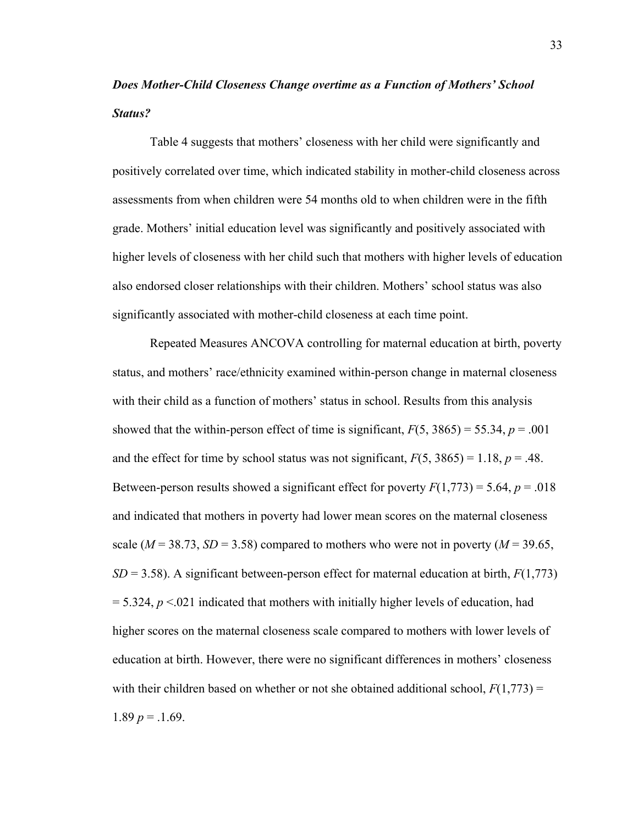# *Does Mother-Child Closeness Change overtime as a Function of Mothers' School Status?*

Table 4 suggests that mothers' closeness with her child were significantly and positively correlated over time, which indicated stability in mother-child closeness across assessments from when children were 54 months old to when children were in the fifth grade. Mothers' initial education level was significantly and positively associated with higher levels of closeness with her child such that mothers with higher levels of education also endorsed closer relationships with their children. Mothers' school status was also significantly associated with mother-child closeness at each time point.

Repeated Measures ANCOVA controlling for maternal education at birth, poverty status, and mothers' race/ethnicity examined within-person change in maternal closeness with their child as a function of mothers' status in school. Results from this analysis showed that the within-person effect of time is significant,  $F(5, 3865) = 55.34$ ,  $p = .001$ and the effect for time by school status was not significant,  $F(5, 3865) = 1.18$ ,  $p = .48$ . Between-person results showed a significant effect for poverty  $F(1,773) = 5.64$ ,  $p = .018$ and indicated that mothers in poverty had lower mean scores on the maternal closeness scale ( $M = 38.73$ ,  $SD = 3.58$ ) compared to mothers who were not in poverty ( $M = 39.65$ , *SD* = 3.58). A significant between-person effect for maternal education at birth, *F*(1,773)  $= 5.324, p < 0.021$  indicated that mothers with initially higher levels of education, had higher scores on the maternal closeness scale compared to mothers with lower levels of education at birth. However, there were no significant differences in mothers' closeness with their children based on whether or not she obtained additional school,  $F(1,773) =$ 1.89  $p = .1.69$ .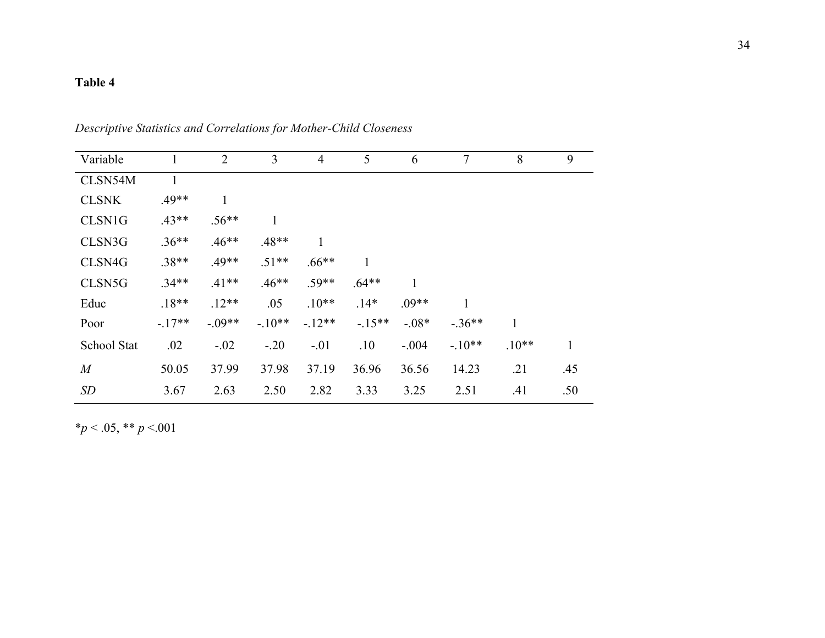## **Table 4**

| Variable         |         | $\overline{2}$ | 3        | $\overline{4}$ | 5            | 6       | 7        | 8       | 9            |
|------------------|---------|----------------|----------|----------------|--------------|---------|----------|---------|--------------|
| CLSN54M          |         |                |          |                |              |         |          |         |              |
| <b>CLSNK</b>     | $.49**$ |                |          |                |              |         |          |         |              |
| CLSN1G           | $.43**$ | $.56**$        | 1        |                |              |         |          |         |              |
| CLSN3G           | $.36**$ | $.46**$        | $.48**$  | 1              |              |         |          |         |              |
| CLSN4G           | $.38**$ | $.49**$        | $.51**$  | $.66**$        | $\mathbf{1}$ |         |          |         |              |
| CLSN5G           | $.34**$ | $.41**$        | $.46**$  | $.59**$        | $.64**$      |         |          |         |              |
| Educ             | $.18**$ | $.12**$        | .05      | $.10**$        | $.14*$       | $.09**$ | 1        |         |              |
| Poor             | $-17**$ | $-.09**$       | $-.10**$ | $-.12**$       | $-15**$      | $-.08*$ | $-.36**$ | 1       |              |
| School Stat      | .02     | $-.02$         | $-.20$   | $-.01$         | .10          | $-.004$ | $-.10**$ | $.10**$ | $\mathbf{1}$ |
| $\boldsymbol{M}$ | 50.05   | 37.99          | 37.98    | 37.19          | 36.96        | 36.56   | 14.23    | .21     | .45          |
| SD               | 3.67    | 2.63           | 2.50     | 2.82           | 3.33         | 3.25    | 2.51     | .41     | .50          |

*Descriptive Statistics and Correlations for Mother-Child Closeness*

\**p* < .05, \*\* *p* <.001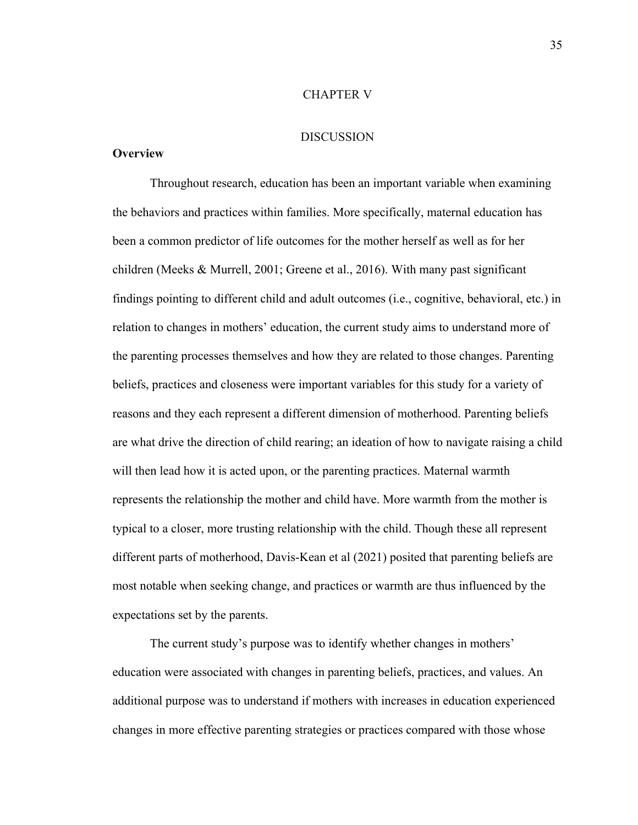#### CHAPTER V

### DISCUSSION

#### **Overview**

Throughout research, education has been an important variable when examining the behaviors and practices within families. More specifically, maternal education has been a common predictor of life outcomes for the mother herself as well as for her children (Meeks & Murrell, 2001; Greene et al., 2016). With many past significant findings pointing to different child and adult outcomes (i.e., cognitive, behavioral, etc.) in relation to changes in mothers' education, the current study aims to understand more of the parenting processes themselves and how they are related to those changes. Parenting beliefs, practices and closeness were important variables for this study for a variety of reasons and they each represent a different dimension of motherhood. Parenting beliefs are what drive the direction of child rearing; an ideation of how to navigate raising a child will then lead how it is acted upon, or the parenting practices. Maternal warmth represents the relationship the mother and child have. More warmth from the mother is typical to a closer, more trusting relationship with the child. Though these all represent different parts of motherhood, Davis-Kean et al (2021) posited that parenting beliefs are most notable when seeking change, and practices or warmth are thus influenced by the expectations set by the parents.

The current study's purpose was to identify whether changes in mothers' education were associated with changes in parenting beliefs, practices, and values. An additional purpose was to understand if mothers with increases in education experienced changes in more effective parenting strategies or practices compared with those whose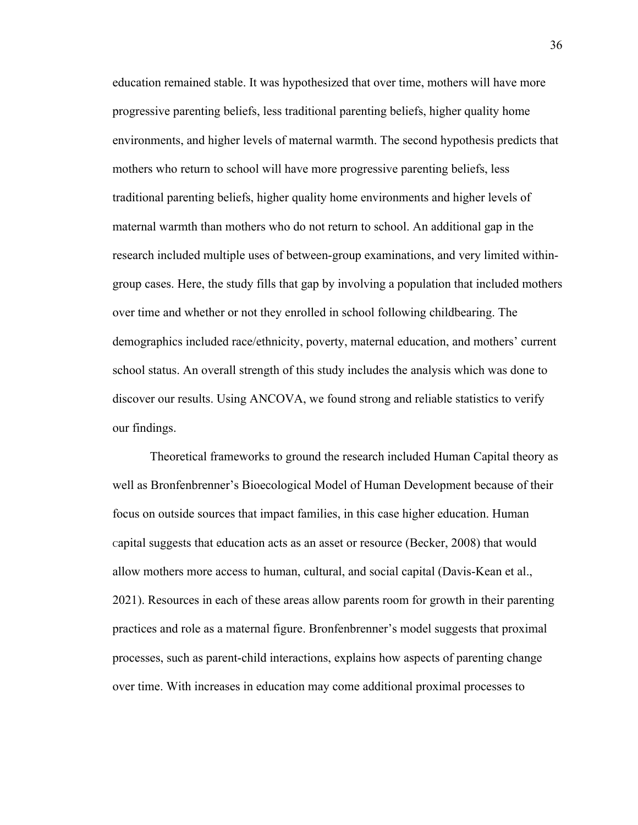education remained stable. It was hypothesized that over time, mothers will have more progressive parenting beliefs, less traditional parenting beliefs, higher quality home environments, and higher levels of maternal warmth. The second hypothesis predicts that mothers who return to school will have more progressive parenting beliefs, less traditional parenting beliefs, higher quality home environments and higher levels of maternal warmth than mothers who do not return to school. An additional gap in the research included multiple uses of between-group examinations, and very limited withingroup cases. Here, the study fills that gap by involving a population that included mothers over time and whether or not they enrolled in school following childbearing. The demographics included race/ethnicity, poverty, maternal education, and mothers' current school status. An overall strength of this study includes the analysis which was done to discover our results. Using ANCOVA, we found strong and reliable statistics to verify our findings.

Theoretical frameworks to ground the research included Human Capital theory as well as Bronfenbrenner's Bioecological Model of Human Development because of their focus on outside sources that impact families, in this case higher education. Human Capital suggests that education acts as an asset or resource (Becker, 2008) that would allow mothers more access to human, cultural, and social capital (Davis-Kean et al., 2021). Resources in each of these areas allow parents room for growth in their parenting practices and role as a maternal figure. Bronfenbrenner's model suggests that proximal processes, such as parent-child interactions, explains how aspects of parenting change over time. With increases in education may come additional proximal processes to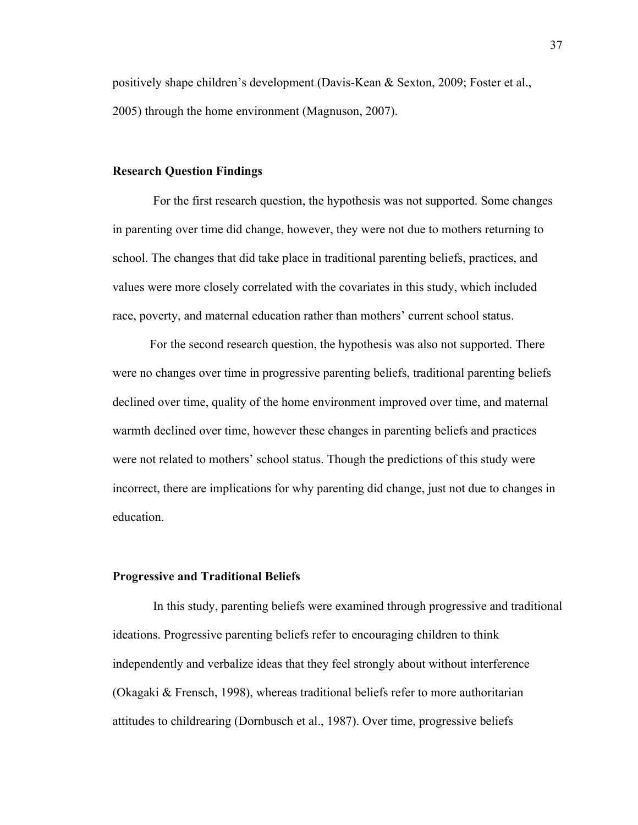positively shape children's development (Davis-Kean & Sexton, 2009; Foster et al., 2005) through the home environment (Magnuson, 2007).

#### **Research Question Findings**

 For the first research question, the hypothesis was not supported. Some changes in parenting over time did change, however, they were not due to mothers returning to school. The changes that did take place in traditional parenting beliefs, practices, and values were more closely correlated with the covariates in this study, which included race, poverty, and maternal education rather than mothers' current school status.

For the second research question, the hypothesis was also not supported. There were no changes over time in progressive parenting beliefs, traditional parenting beliefs declined over time, quality of the home environment improved over time, and maternal warmth declined over time, however these changes in parenting beliefs and practices were not related to mothers' school status. Though the predictions of this study were incorrect, there are implications for why parenting did change, just not due to changes in education.

#### **Progressive and Traditional Beliefs**

In this study, parenting beliefs were examined through progressive and traditional ideations. Progressive parenting beliefs refer to encouraging children to think independently and verbalize ideas that they feel strongly about without interference (Okagaki & Frensch, 1998), whereas traditional beliefs refer to more authoritarian attitudes to childrearing (Dornbusch et al., 1987). Over time, progressive beliefs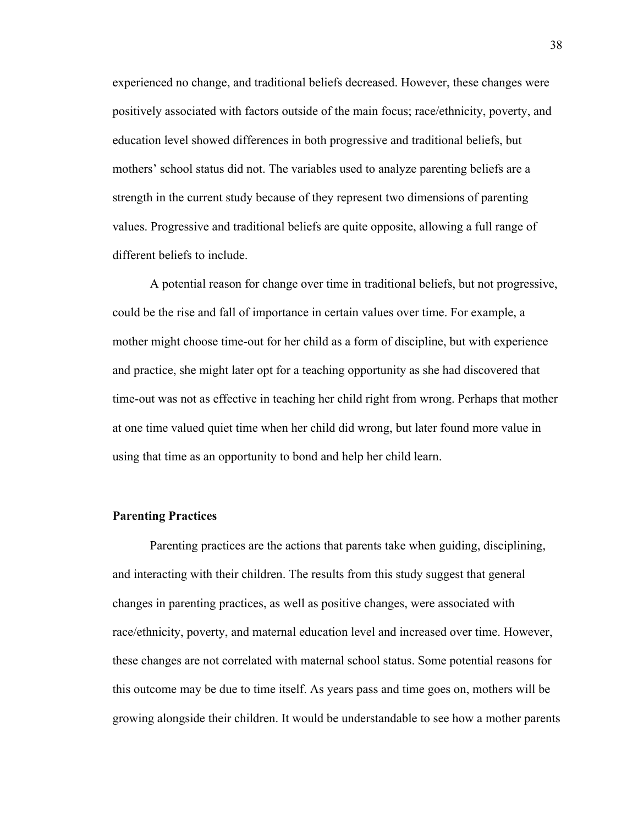experienced no change, and traditional beliefs decreased. However, these changes were positively associated with factors outside of the main focus; race/ethnicity, poverty, and education level showed differences in both progressive and traditional beliefs, but mothers' school status did not. The variables used to analyze parenting beliefs are a strength in the current study because of they represent two dimensions of parenting values. Progressive and traditional beliefs are quite opposite, allowing a full range of different beliefs to include.

A potential reason for change over time in traditional beliefs, but not progressive, could be the rise and fall of importance in certain values over time. For example, a mother might choose time-out for her child as a form of discipline, but with experience and practice, she might later opt for a teaching opportunity as she had discovered that time-out was not as effective in teaching her child right from wrong. Perhaps that mother at one time valued quiet time when her child did wrong, but later found more value in using that time as an opportunity to bond and help her child learn.

#### **Parenting Practices**

Parenting practices are the actions that parents take when guiding, disciplining, and interacting with their children. The results from this study suggest that general changes in parenting practices, as well as positive changes, were associated with race/ethnicity, poverty, and maternal education level and increased over time. However, these changes are not correlated with maternal school status. Some potential reasons for this outcome may be due to time itself. As years pass and time goes on, mothers will be growing alongside their children. It would be understandable to see how a mother parents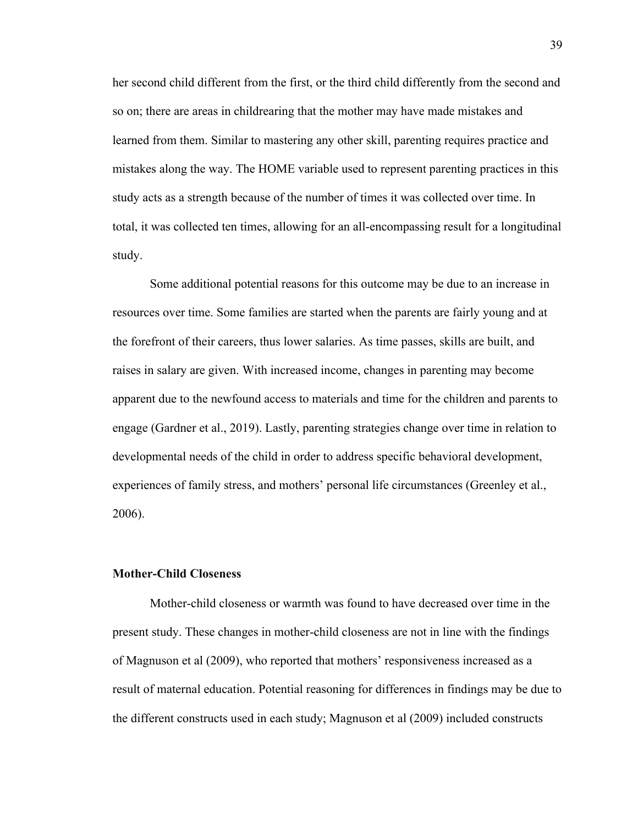her second child different from the first, or the third child differently from the second and so on; there are areas in childrearing that the mother may have made mistakes and learned from them. Similar to mastering any other skill, parenting requires practice and mistakes along the way. The HOME variable used to represent parenting practices in this study acts as a strength because of the number of times it was collected over time. In total, it was collected ten times, allowing for an all-encompassing result for a longitudinal study.

Some additional potential reasons for this outcome may be due to an increase in resources over time. Some families are started when the parents are fairly young and at the forefront of their careers, thus lower salaries. As time passes, skills are built, and raises in salary are given. With increased income, changes in parenting may become apparent due to the newfound access to materials and time for the children and parents to engage (Gardner et al., 2019). Lastly, parenting strategies change over time in relation to developmental needs of the child in order to address specific behavioral development, experiences of family stress, and mothers' personal life circumstances (Greenley et al., 2006).

### **Mother-Child Closeness**

Mother-child closeness or warmth was found to have decreased over time in the present study. These changes in mother-child closeness are not in line with the findings of Magnuson et al (2009), who reported that mothers' responsiveness increased as a result of maternal education. Potential reasoning for differences in findings may be due to the different constructs used in each study; Magnuson et al (2009) included constructs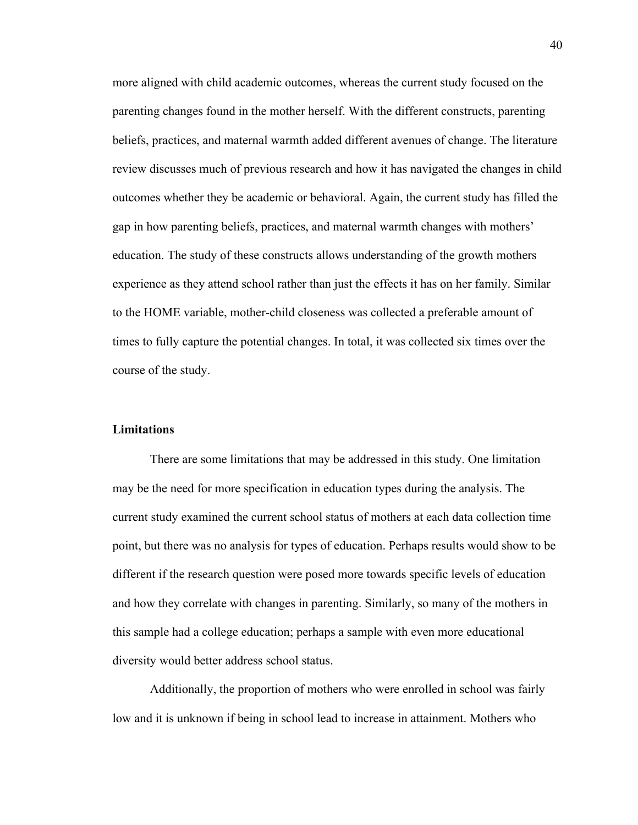more aligned with child academic outcomes, whereas the current study focused on the parenting changes found in the mother herself. With the different constructs, parenting beliefs, practices, and maternal warmth added different avenues of change. The literature review discusses much of previous research and how it has navigated the changes in child outcomes whether they be academic or behavioral. Again, the current study has filled the gap in how parenting beliefs, practices, and maternal warmth changes with mothers' education. The study of these constructs allows understanding of the growth mothers experience as they attend school rather than just the effects it has on her family. Similar to the HOME variable, mother-child closeness was collected a preferable amount of times to fully capture the potential changes. In total, it was collected six times over the course of the study.

#### **Limitations**

There are some limitations that may be addressed in this study. One limitation may be the need for more specification in education types during the analysis. The current study examined the current school status of mothers at each data collection time point, but there was no analysis for types of education. Perhaps results would show to be different if the research question were posed more towards specific levels of education and how they correlate with changes in parenting. Similarly, so many of the mothers in this sample had a college education; perhaps a sample with even more educational diversity would better address school status.

Additionally, the proportion of mothers who were enrolled in school was fairly low and it is unknown if being in school lead to increase in attainment. Mothers who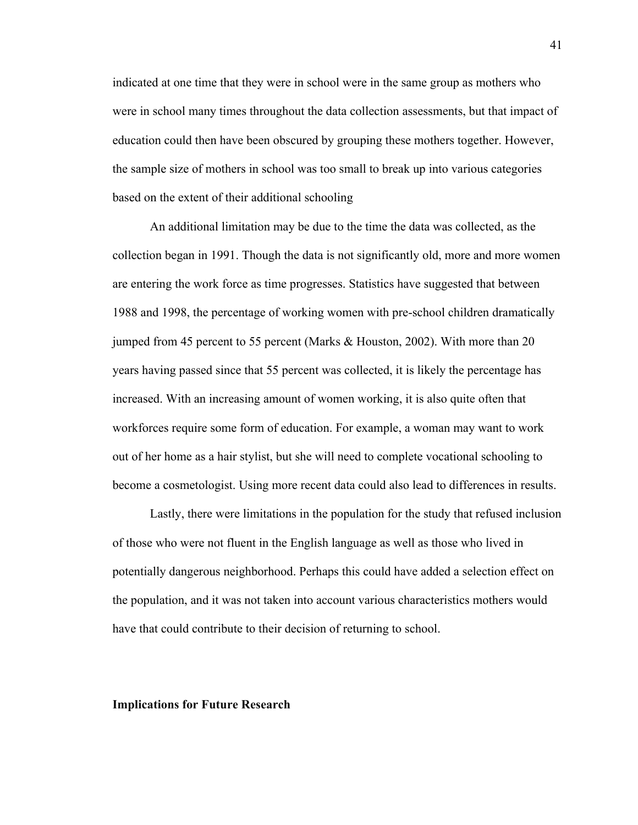indicated at one time that they were in school were in the same group as mothers who were in school many times throughout the data collection assessments, but that impact of education could then have been obscured by grouping these mothers together. However, the sample size of mothers in school was too small to break up into various categories based on the extent of their additional schooling

An additional limitation may be due to the time the data was collected, as the collection began in 1991. Though the data is not significantly old, more and more women are entering the work force as time progresses. Statistics have suggested that between 1988 and 1998, the percentage of working women with pre-school children dramatically jumped from 45 percent to 55 percent (Marks & Houston, 2002). With more than 20 years having passed since that 55 percent was collected, it is likely the percentage has increased. With an increasing amount of women working, it is also quite often that workforces require some form of education. For example, a woman may want to work out of her home as a hair stylist, but she will need to complete vocational schooling to become a cosmetologist. Using more recent data could also lead to differences in results.

Lastly, there were limitations in the population for the study that refused inclusion of those who were not fluent in the English language as well as those who lived in potentially dangerous neighborhood. Perhaps this could have added a selection effect on the population, and it was not taken into account various characteristics mothers would have that could contribute to their decision of returning to school.

#### **Implications for Future Research**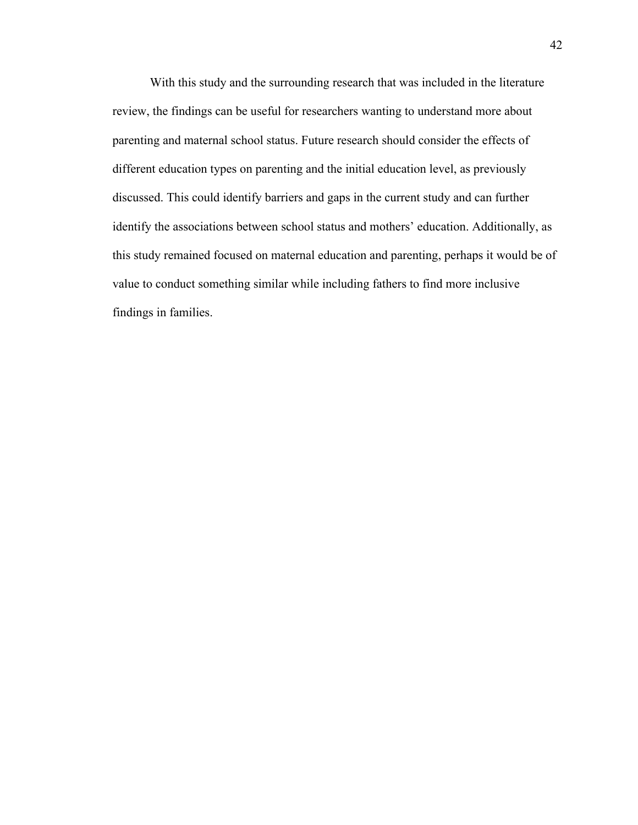With this study and the surrounding research that was included in the literature review, the findings can be useful for researchers wanting to understand more about parenting and maternal school status. Future research should consider the effects of different education types on parenting and the initial education level, as previously discussed. This could identify barriers and gaps in the current study and can further identify the associations between school status and mothers' education. Additionally, as this study remained focused on maternal education and parenting, perhaps it would be of value to conduct something similar while including fathers to find more inclusive findings in families.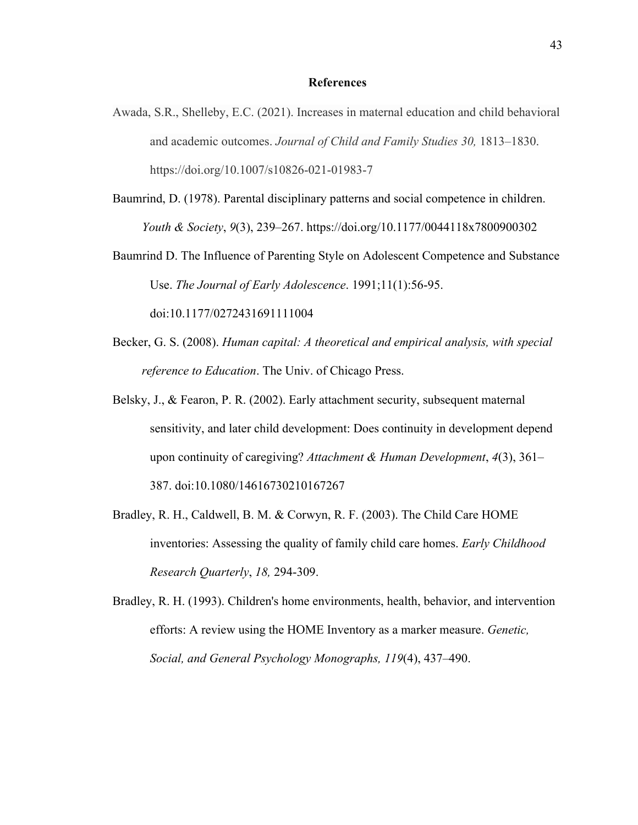#### **References**

- Awada, S.R., Shelleby, E.C. (2021). Increases in maternal education and child behavioral and academic outcomes. *Journal of Child and Family Studies 30,* 1813–1830. https://doi.org/10.1007/s10826-021-01983-7
- Baumrind, D. (1978). Parental disciplinary patterns and social competence in children. *Youth & Society*, *9*(3), 239–267. https://doi.org/10.1177/0044118x7800900302
- Baumrind D. The Influence of Parenting Style on Adolescent Competence and Substance Use. *The Journal of Early Adolescence*. 1991;11(1):56-95. doi:10.1177/0272431691111004
- Becker, G. S. (2008). *Human capital: A theoretical and empirical analysis, with special reference to Education*. The Univ. of Chicago Press.
- Belsky, J., & Fearon, P. R. (2002). Early attachment security, subsequent maternal sensitivity, and later child development: Does continuity in development depend upon continuity of caregiving? *Attachment & Human Development*, *4*(3), 361– 387. doi:10.1080/14616730210167267
- Bradley, R. H., Caldwell, B. M. & Corwyn, R. F. (2003). The Child Care HOME inventories: Assessing the quality of family child care homes. *Early Childhood Research Quarterly*, *18,* 294-309.

Bradley, R. H. (1993). Children's home environments, health, behavior, and intervention efforts: A review using the HOME Inventory as a marker measure. *Genetic, Social, and General Psychology Monographs, 119*(4), 437–490.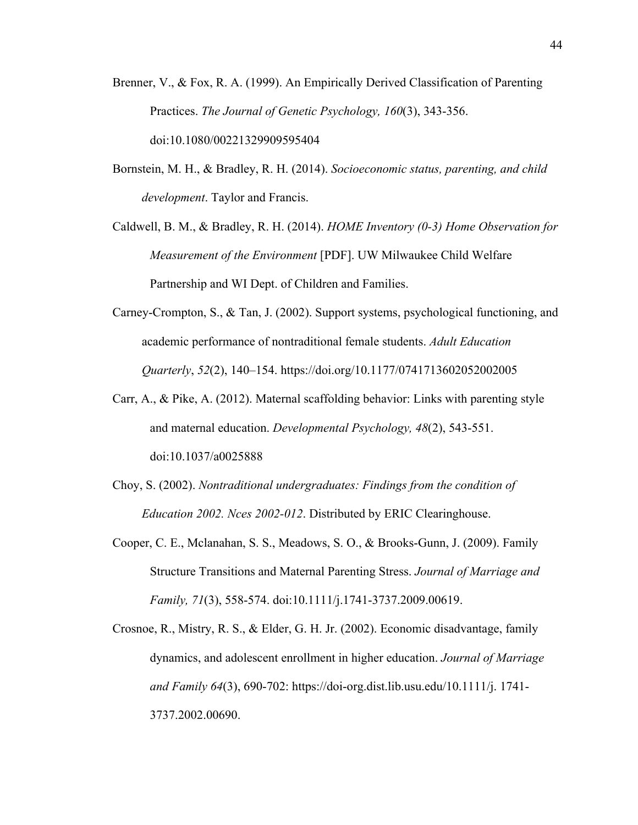- Brenner, V., & Fox, R. A. (1999). An Empirically Derived Classification of Parenting Practices. *The Journal of Genetic Psychology, 160*(3), 343-356. doi:10.1080/00221329909595404
- Bornstein, M. H., & Bradley, R. H. (2014). *Socioeconomic status, parenting, and child development*. Taylor and Francis.

Caldwell, B. M., & Bradley, R. H. (2014). *HOME Inventory (0-3) Home Observation for Measurement of the Environment* [PDF]. UW Milwaukee Child Welfare Partnership and WI Dept. of Children and Families.

- Carney-Crompton, S., & Tan, J. (2002). Support systems, psychological functioning, and academic performance of nontraditional female students. *Adult Education Quarterly*, *52*(2), 140–154. https://doi.org/10.1177/0741713602052002005
- Carr, A., & Pike, A. (2012). Maternal scaffolding behavior: Links with parenting style and maternal education. *Developmental Psychology, 48*(2), 543-551. doi:10.1037/a0025888
- Choy, S. (2002). *Nontraditional undergraduates: Findings from the condition of Education 2002. Nces 2002-012*. Distributed by ERIC Clearinghouse.
- Cooper, C. E., Mclanahan, S. S., Meadows, S. O., & Brooks-Gunn, J. (2009). Family Structure Transitions and Maternal Parenting Stress. *Journal of Marriage and Family, 71*(3), 558-574. doi:10.1111/j.1741-3737.2009.00619.
- Crosnoe, R., Mistry, R. S., & Elder, G. H. Jr. (2002). Economic disadvantage, family dynamics, and adolescent enrollment in higher education. *Journal of Marriage and Family 64*(3), 690-702: https://doi-org.dist.lib.usu.edu/10.1111/j. 1741- 3737.2002.00690.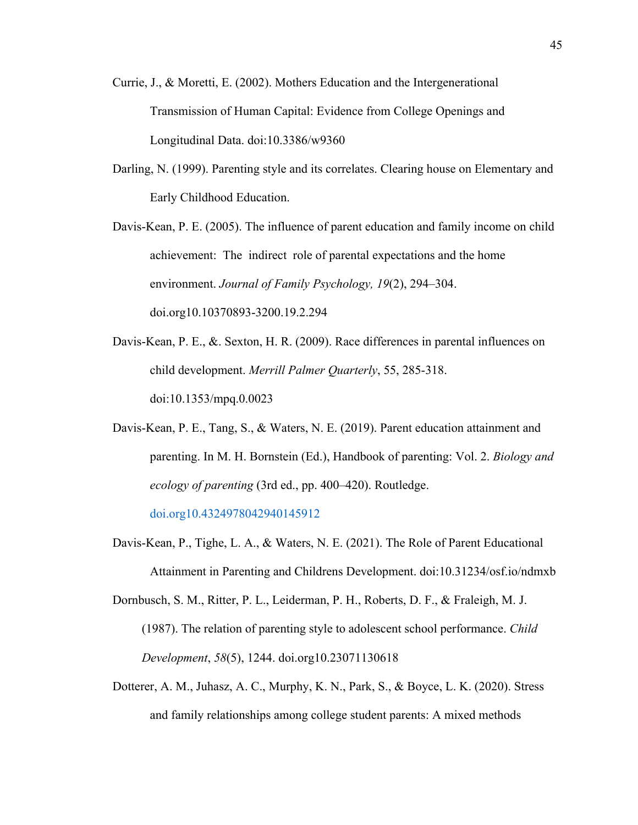- Currie, J., & Moretti, E. (2002). Mothers Education and the Intergenerational Transmission of Human Capital: Evidence from College Openings and Longitudinal Data. doi:10.3386/w9360
- Darling, N. (1999). Parenting style and its correlates. Clearing house on Elementary and Early Childhood Education.
- Davis-Kean, P. E. (2005). The influence of parent education and family income on child achievement: The indirect role of parental expectations and the home environment. *Journal of Family Psychology, 19*(2), 294–304. doi.org10.10370893-3200.19.2.294
- Davis-Kean, P. E., &. Sexton, H. R. (2009). Race differences in parental influences on child development. *Merrill Palmer Quarterly*, 55, 285-318. doi:10.1353/mpq.0.0023
- Davis-Kean, P. E., Tang, S., & Waters, N. E. (2019). Parent education attainment and parenting. In M. H. Bornstein (Ed.), Handbook of parenting: Vol. 2. *Biology and ecology of parenting* (3rd ed., pp. 400–420). Routledge.

doi.org10.4324978042940145912

Davis-Kean, P., Tighe, L. A., & Waters, N. E. (2021). The Role of Parent Educational Attainment in Parenting and Childrens Development. doi:10.31234/osf.io/ndmxb

Dornbusch, S. M., Ritter, P. L., Leiderman, P. H., Roberts, D. F., & Fraleigh, M. J. (1987). The relation of parenting style to adolescent school performance. *Child Development*, *58*(5), 1244. doi.org10.23071130618

Dotterer, A. M., Juhasz, A. C., Murphy, K. N., Park, S., & Boyce, L. K. (2020). Stress and family relationships among college student parents: A mixed methods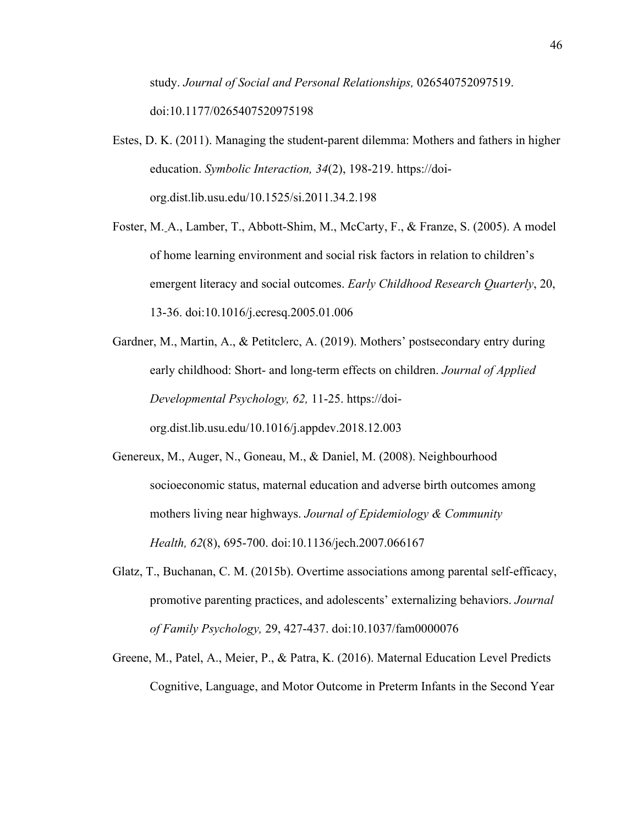study. *Journal of Social and Personal Relationships,* 026540752097519. doi:10.1177/0265407520975198

- Estes, D. K. (2011). Managing the student-parent dilemma: Mothers and fathers in higher education. *Symbolic Interaction, 34*(2), 198-219. https://doiorg.dist.lib.usu.edu/10.1525/si.2011.34.2.198
- Foster, M. A., Lamber, T., Abbott-Shim, M., McCarty, F., & Franze, S. (2005). A model of home learning environment and social risk factors in relation to children's emergent literacy and social outcomes. *Early Childhood Research Quarterly*, 20, 13-36. doi:10.1016/j.ecresq.2005.01.006
- Gardner, M., Martin, A., & Petitclerc, A. (2019). Mothers' postsecondary entry during early childhood: Short- and long-term effects on children. *Journal of Applied Developmental Psychology, 62,* 11-25. https://doiorg.dist.lib.usu.edu/10.1016/j.appdev.2018.12.003
- Genereux, M., Auger, N., Goneau, M., & Daniel, M. (2008). Neighbourhood socioeconomic status, maternal education and adverse birth outcomes among mothers living near highways. *Journal of Epidemiology & Community Health, 62*(8), 695-700. doi:10.1136/jech.2007.066167
- Glatz, T., Buchanan, C. M. (2015b). Overtime associations among parental self-efficacy, promotive parenting practices, and adolescents' externalizing behaviors. *Journal of Family Psychology,* 29, 427-437. doi:10.1037/fam0000076
- Greene, M., Patel, A., Meier, P., & Patra, K. (2016). Maternal Education Level Predicts Cognitive, Language, and Motor Outcome in Preterm Infants in the Second Year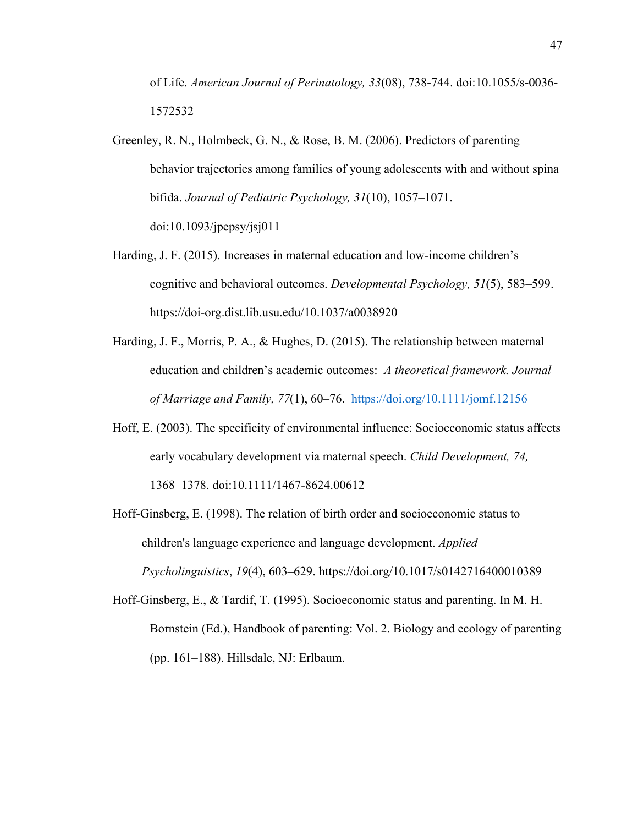of Life. *American Journal of Perinatology, 33*(08), 738-744. doi:10.1055/s-0036- 1572532

- Greenley, R. N., Holmbeck, G. N., & Rose, B. M. (2006). Predictors of parenting behavior trajectories among families of young adolescents with and without spina bifida. *Journal of Pediatric Psychology, 31*(10), 1057–1071. doi:10.1093/jpepsy/jsj011
- Harding, J. F. (2015). Increases in maternal education and low-income children's cognitive and behavioral outcomes. *Developmental Psychology, 51*(5), 583–599. https://doi-org.dist.lib.usu.edu/10.1037/a0038920
- Harding, J. F., Morris, P. A., & Hughes, D. (2015). The relationship between maternal education and children's academic outcomes: *A theoretical framework. Journal of Marriage and Family, 77*(1), 60–76. https://doi.org/10.1111/jomf.12156
- Hoff, E. (2003). The specificity of environmental influence: Socioeconomic status affects early vocabulary development via maternal speech. *Child Development, 74,* 1368–1378. doi:10.1111/1467-8624.00612
- Hoff-Ginsberg, E. (1998). The relation of birth order and socioeconomic status to children's language experience and language development. *Applied Psycholinguistics*, *19*(4), 603–629. https://doi.org/10.1017/s0142716400010389
- Hoff-Ginsberg, E., & Tardif, T. (1995). Socioeconomic status and parenting. In M. H. Bornstein (Ed.), Handbook of parenting: Vol. 2. Biology and ecology of parenting (pp. 161–188). Hillsdale, NJ: Erlbaum.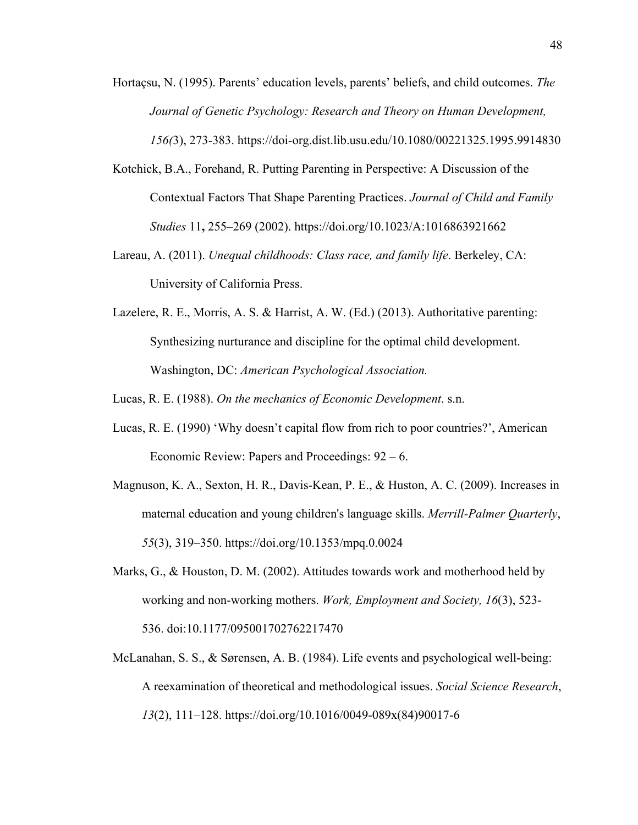- Hortaçsu, N. (1995). Parents' education levels, parents' beliefs, and child outcomes. *The Journal of Genetic Psychology: Research and Theory on Human Development, 156(*3), 273-383. https://doi-org.dist.lib.usu.edu/10.1080/00221325.1995.9914830
- Kotchick, B.A., Forehand, R. Putting Parenting in Perspective: A Discussion of the Contextual Factors That Shape Parenting Practices. *Journal of Child and Family Studies* 11**,** 255–269 (2002). https://doi.org/10.1023/A:1016863921662
- Lareau, A. (2011). *Unequal childhoods: Class race, and family life*. Berkeley, CA: University of California Press.
- Lazelere, R. E., Morris, A. S. & Harrist, A. W. (Ed.) (2013). Authoritative parenting: Synthesizing nurturance and discipline for the optimal child development. Washington, DC: *American Psychological Association.*

Lucas, R. E. (1988). *On the mechanics of Economic Development*. s.n.

- Lucas, R. E. (1990) 'Why doesn't capital flow from rich to poor countries?', American Economic Review: Papers and Proceedings: 92 – 6.
- Magnuson, K. A., Sexton, H. R., Davis-Kean, P. E., & Huston, A. C. (2009). Increases in maternal education and young children's language skills. *Merrill-Palmer Quarterly*, *55*(3), 319–350. https://doi.org/10.1353/mpq.0.0024
- Marks, G., & Houston, D. M. (2002). Attitudes towards work and motherhood held by working and non-working mothers. *Work, Employment and Society, 16*(3), 523- 536. doi:10.1177/095001702762217470
- McLanahan, S. S., & Sørensen, A. B. (1984). Life events and psychological well-being: A reexamination of theoretical and methodological issues. *Social Science Research*, *13*(2), 111–128. https://doi.org/10.1016/0049-089x(84)90017-6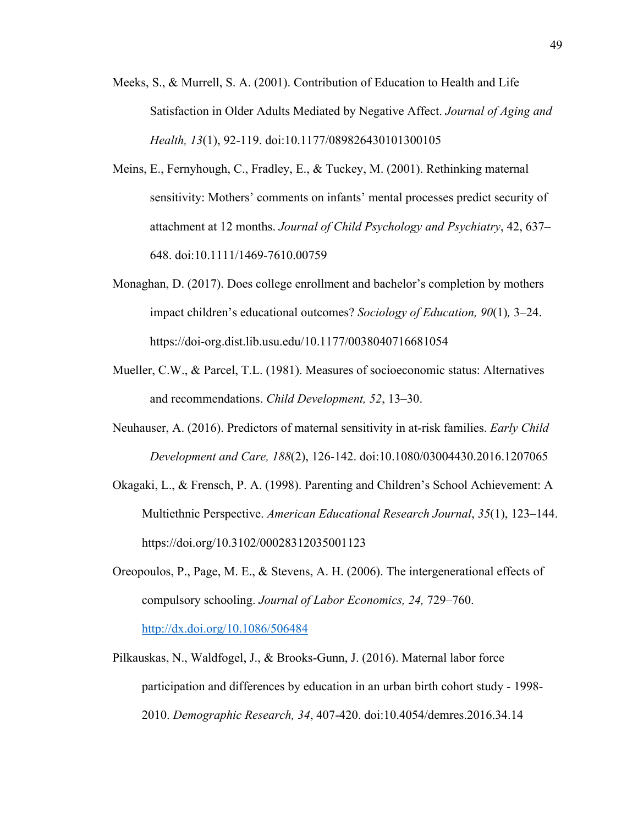- Meeks, S., & Murrell, S. A. (2001). Contribution of Education to Health and Life Satisfaction in Older Adults Mediated by Negative Affect. *Journal of Aging and Health, 13*(1), 92-119. doi:10.1177/089826430101300105
- Meins, E., Fernyhough, C., Fradley, E., & Tuckey, M. (2001). Rethinking maternal sensitivity: Mothers' comments on infants' mental processes predict security of attachment at 12 months. *Journal of Child Psychology and Psychiatry*, 42, 637– 648. doi:10.1111/1469-7610.00759
- Monaghan, D. (2017). Does college enrollment and bachelor's completion by mothers impact children's educational outcomes? *Sociology of Education, 90*(1)*,* 3–24. https://doi-org.dist.lib.usu.edu/10.1177/0038040716681054
- Mueller, C.W., & Parcel, T.L. (1981). Measures of socioeconomic status: Alternatives and recommendations. *Child Development, 52*, 13–30.
- Neuhauser, A. (2016). Predictors of maternal sensitivity in at-risk families. *Early Child Development and Care, 188*(2), 126-142. doi:10.1080/03004430.2016.1207065
- Okagaki, L., & Frensch, P. A. (1998). Parenting and Children's School Achievement: A Multiethnic Perspective. *American Educational Research Journal*, *35*(1), 123–144. https://doi.org/10.3102/00028312035001123
- Oreopoulos, P., Page, M. E., & Stevens, A. H. (2006). The intergenerational effects of compulsory schooling. *Journal of Labor Economics, 24,* 729–760. http://dx.doi.org/10.1086/506484
- Pilkauskas, N., Waldfogel, J., & Brooks-Gunn, J. (2016). Maternal labor force participation and differences by education in an urban birth cohort study - 1998- 2010. *Demographic Research, 34*, 407-420. doi:10.4054/demres.2016.34.14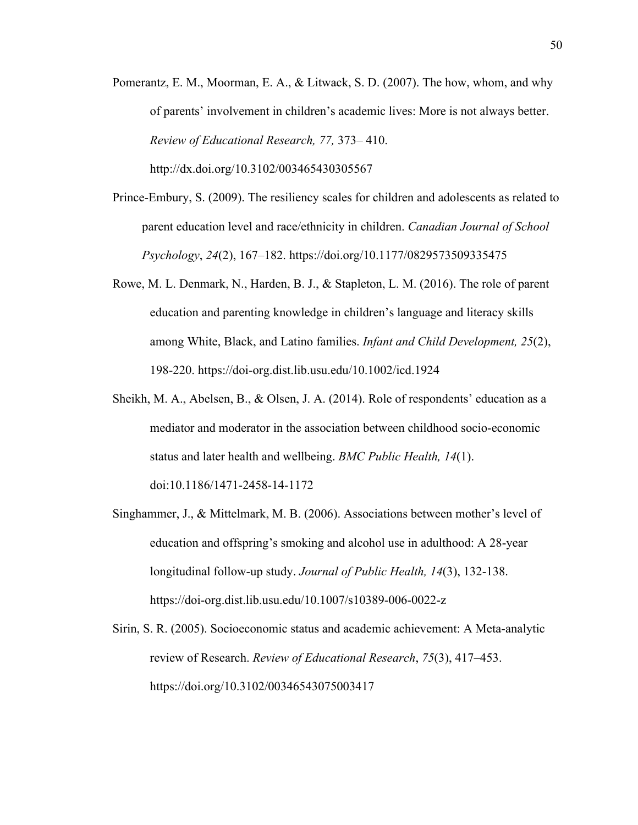Pomerantz, E. M., Moorman, E. A., & Litwack, S. D. (2007). The how, whom, and why of parents' involvement in children's academic lives: More is not always better. *Review of Educational Research, 77,* 373– 410.

http://dx.doi.org/10.3102/003465430305567

- Prince-Embury, S. (2009). The resiliency scales for children and adolescents as related to parent education level and race/ethnicity in children. *Canadian Journal of School Psychology*, *24*(2), 167–182. https://doi.org/10.1177/0829573509335475
- Rowe, M. L. Denmark, N., Harden, B. J., & Stapleton, L. M. (2016). The role of parent education and parenting knowledge in children's language and literacy skills among White, Black, and Latino families. *Infant and Child Development, 25*(2), 198-220. https://doi-org.dist.lib.usu.edu/10.1002/icd.1924
- Sheikh, M. A., Abelsen, B., & Olsen, J. A. (2014). Role of respondents' education as a mediator and moderator in the association between childhood socio-economic status and later health and wellbeing. *BMC Public Health, 14*(1). doi:10.1186/1471-2458-14-1172
- Singhammer, J., & Mittelmark, M. B. (2006). Associations between mother's level of education and offspring's smoking and alcohol use in adulthood: A 28-year longitudinal follow-up study. *Journal of Public Health, 14*(3), 132-138. https://doi-org.dist.lib.usu.edu/10.1007/s10389-006-0022-z
- Sirin, S. R. (2005). Socioeconomic status and academic achievement: A Meta-analytic review of Research. *Review of Educational Research*, *75*(3), 417–453. https://doi.org/10.3102/00346543075003417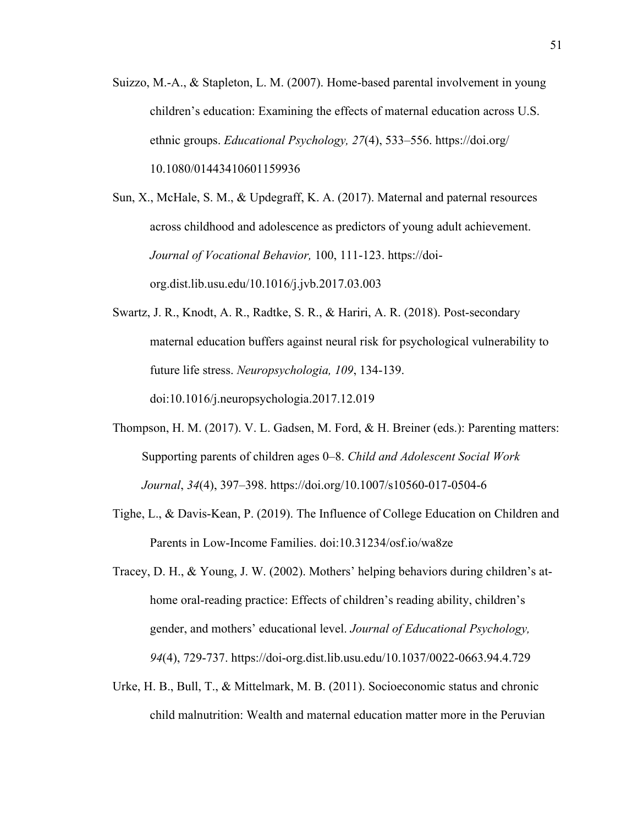Suizzo, M.-A., & Stapleton, L. M. (2007). Home-based parental involvement in young children's education: Examining the effects of maternal education across U.S. ethnic groups. *Educational Psychology, 27*(4), 533–556. https://doi.org/ 10.1080/01443410601159936

Sun, X., McHale, S. M., & Updegraff, K. A. (2017). Maternal and paternal resources across childhood and adolescence as predictors of young adult achievement. *Journal of Vocational Behavior,* 100, 111-123. https://doiorg.dist.lib.usu.edu/10.1016/j.jvb.2017.03.003

- Swartz, J. R., Knodt, A. R., Radtke, S. R., & Hariri, A. R. (2018). Post-secondary maternal education buffers against neural risk for psychological vulnerability to future life stress. *Neuropsychologia, 109*, 134-139. doi:10.1016/j.neuropsychologia.2017.12.019
- Thompson, H. M. (2017). V. L. Gadsen, M. Ford, & H. Breiner (eds.): Parenting matters: Supporting parents of children ages 0–8. *Child and Adolescent Social Work Journal*, *34*(4), 397–398. https://doi.org/10.1007/s10560-017-0504-6
- Tighe, L., & Davis-Kean, P. (2019). The Influence of College Education on Children and Parents in Low-Income Families. doi:10.31234/osf.io/wa8ze
- Tracey, D. H., & Young, J. W. (2002). Mothers' helping behaviors during children's athome oral-reading practice: Effects of children's reading ability, children's gender, and mothers' educational level. *Journal of Educational Psychology, 94*(4), 729-737. https://doi-org.dist.lib.usu.edu/10.1037/0022-0663.94.4.729
- Urke, H. B., Bull, T., & Mittelmark, M. B. (2011). Socioeconomic status and chronic child malnutrition: Wealth and maternal education matter more in the Peruvian